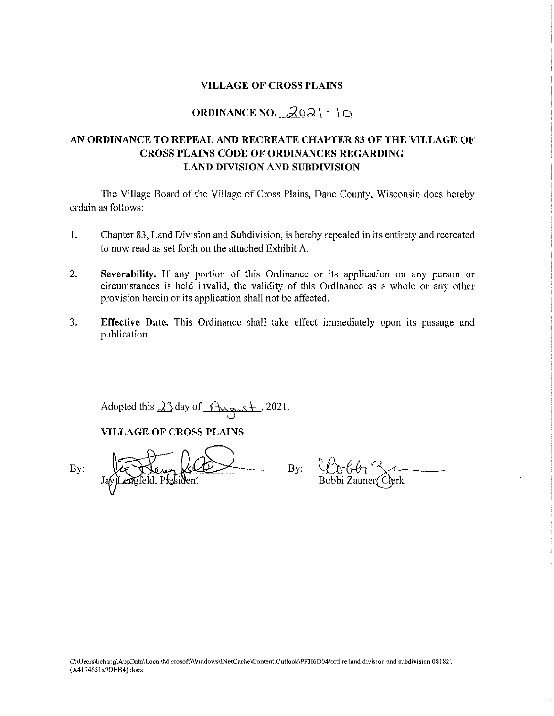#### **VILLAGE OF CROSS PLAINS**

### ORDINANCE NO.  $202$  | - | 0

#### AN ORDINANCE TO REPEAL AND RECREATE CHAPTER 83 OF THE VILLAGE OF **CROSS PLAINS CODE OF ORDINANCES REGARDING LAND DIVISION AND SUBDIVISION**

The Village Board of the Village of Cross Plains, Dane County, Wisconsin does hereby ordain as follows:

- 1. Chapter 83, Land Division and Subdivision, is hereby repealed in its entirety and recreated to now read as set forth on the attached Exhibit A.
- $2.$ Severability. If any portion of this Ordinance or its application on any person or circumstances is held invalid, the validity of this Ordinance as a whole or any other provision herein or its application shall not be affected.
- $3.$ **Effective Date.** This Ordinance shall take effect immediately upon its passage and publication.

Adopted this  $23$  day of Angust, 2021.

#### **VILLAGE OF CROSS PLAINS**

By:

By: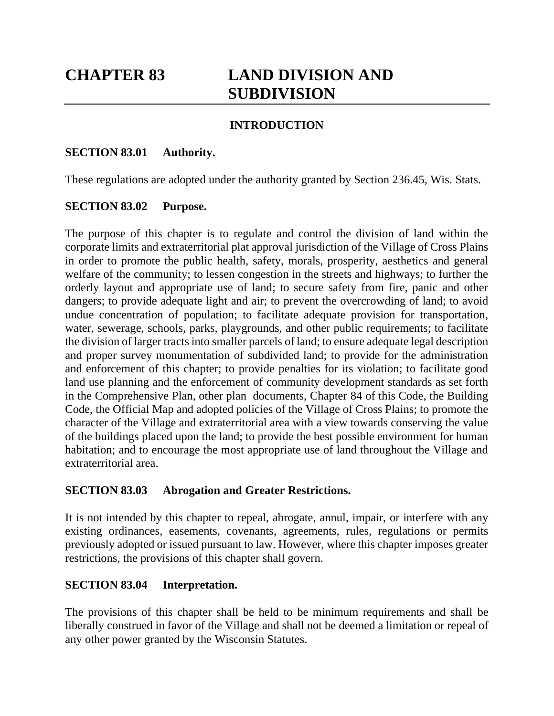# **CHAPTER 83 LAND DIVISION AND SUBDIVISION**

### **INTRODUCTION**

### **SECTION 83.01 Authority.**

These regulations are adopted under the authority granted by Section 236.45, Wis. Stats.

### **SECTION 83.02 Purpose.**

The purpose of this chapter is to regulate and control the division of land within the corporate limits and extraterritorial plat approval jurisdiction of the Village of Cross Plains in order to promote the public health, safety, morals, prosperity, aesthetics and general welfare of the community; to lessen congestion in the streets and highways; to further the orderly layout and appropriate use of land; to secure safety from fire, panic and other dangers; to provide adequate light and air; to prevent the overcrowding of land; to avoid undue concentration of population; to facilitate adequate provision for transportation, water, sewerage, schools, parks, playgrounds, and other public requirements; to facilitate the division of larger tracts into smaller parcels of land; to ensure adequate legal description and proper survey monumentation of subdivided land; to provide for the administration and enforcement of this chapter; to provide penalties for its violation; to facilitate good land use planning and the enforcement of community development standards as set forth in the Comprehensive Plan, other plan documents, Chapter 84 of this Code, the Building Code, the Official Map and adopted policies of the Village of Cross Plains; to promote the character of the Village and extraterritorial area with a view towards conserving the value of the buildings placed upon the land; to provide the best possible environment for human habitation; and to encourage the most appropriate use of land throughout the Village and extraterritorial area.

### **SECTION 83.03 Abrogation and Greater Restrictions.**

It is not intended by this chapter to repeal, abrogate, annul, impair, or interfere with any existing ordinances, easements, covenants, agreements, rules, regulations or permits previously adopted or issued pursuant to law. However, where this chapter imposes greater restrictions, the provisions of this chapter shall govern.

### **SECTION 83.04 Interpretation.**

The provisions of this chapter shall be held to be minimum requirements and shall be liberally construed in favor of the Village and shall not be deemed a limitation or repeal of any other power granted by the Wisconsin Statutes.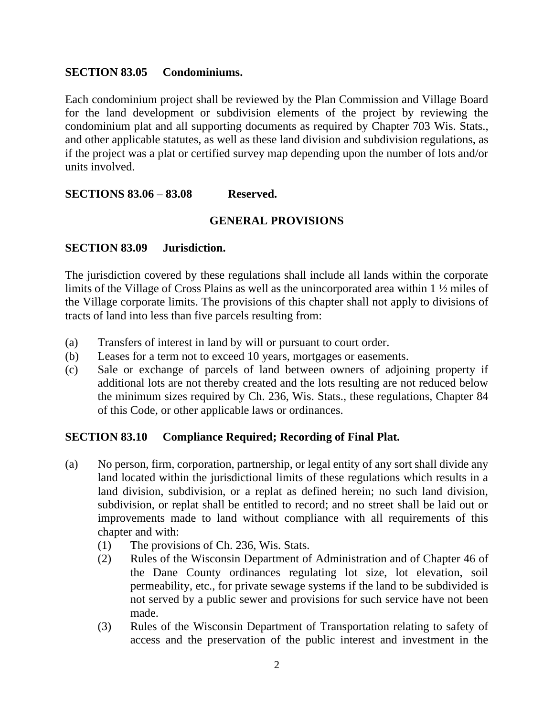#### **SECTION 83.05 Condominiums.**

Each condominium project shall be reviewed by the Plan Commission and Village Board for the land development or subdivision elements of the project by reviewing the condominium plat and all supporting documents as required by Chapter 703 Wis. Stats., and other applicable statutes, as well as these land division and subdivision regulations, as if the project was a plat or certified survey map depending upon the number of lots and/or units involved.

**SECTIONS 83.06 – 83.08 Reserved.**

### **GENERAL PROVISIONS**

### **SECTION 83.09 Jurisdiction.**

The jurisdiction covered by these regulations shall include all lands within the corporate limits of the Village of Cross Plains as well as the unincorporated area within 1 ½ miles of the Village corporate limits. The provisions of this chapter shall not apply to divisions of tracts of land into less than five parcels resulting from:

- (a) Transfers of interest in land by will or pursuant to court order.
- (b) Leases for a term not to exceed 10 years, mortgages or easements.
- (c) Sale or exchange of parcels of land between owners of adjoining property if additional lots are not thereby created and the lots resulting are not reduced below the minimum sizes required by Ch. 236, Wis. Stats., these regulations, Chapter 84 of this Code, or other applicable laws or ordinances.

### **SECTION 83.10 Compliance Required; Recording of Final Plat.**

- (a) No person, firm, corporation, partnership, or legal entity of any sort shall divide any land located within the jurisdictional limits of these regulations which results in a land division, subdivision, or a replat as defined herein; no such land division, subdivision, or replat shall be entitled to record; and no street shall be laid out or improvements made to land without compliance with all requirements of this chapter and with:
	- (1) The provisions of Ch. 236, Wis. Stats.
	- (2) Rules of the Wisconsin Department of Administration and of Chapter 46 of the Dane County ordinances regulating lot size, lot elevation, soil permeability, etc., for private sewage systems if the land to be subdivided is not served by a public sewer and provisions for such service have not been made.
	- (3) Rules of the Wisconsin Department of Transportation relating to safety of access and the preservation of the public interest and investment in the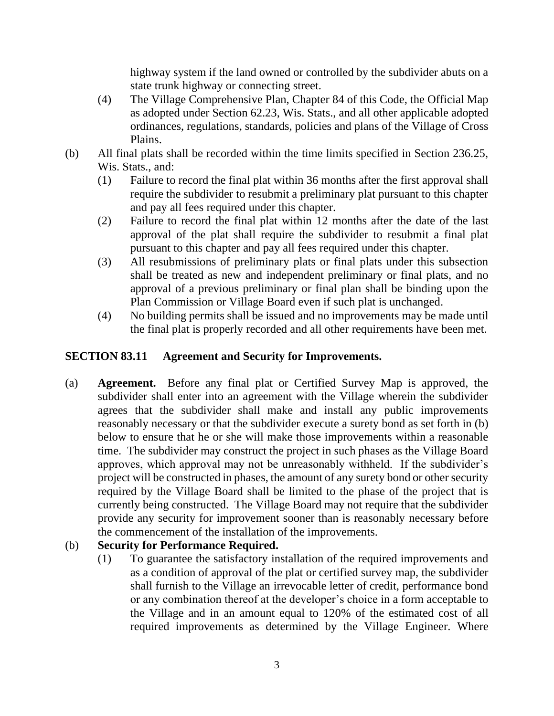highway system if the land owned or controlled by the subdivider abuts on a state trunk highway or connecting street.

- (4) The Village Comprehensive Plan, Chapter 84 of this Code, the Official Map as adopted under Section 62.23, Wis. Stats., and all other applicable adopted ordinances, regulations, standards, policies and plans of the Village of Cross Plains.
- (b) All final plats shall be recorded within the time limits specified in Section 236.25, Wis. Stats., and:
	- (1) Failure to record the final plat within 36 months after the first approval shall require the subdivider to resubmit a preliminary plat pursuant to this chapter and pay all fees required under this chapter.
	- (2) Failure to record the final plat within 12 months after the date of the last approval of the plat shall require the subdivider to resubmit a final plat pursuant to this chapter and pay all fees required under this chapter.
	- (3) All resubmissions of preliminary plats or final plats under this subsection shall be treated as new and independent preliminary or final plats, and no approval of a previous preliminary or final plan shall be binding upon the Plan Commission or Village Board even if such plat is unchanged.
	- (4) No building permits shall be issued and no improvements may be made until the final plat is properly recorded and all other requirements have been met.

# **SECTION 83.11 Agreement and Security for Improvements.**

(a) **Agreement.** Before any final plat or Certified Survey Map is approved, the subdivider shall enter into an agreement with the Village wherein the subdivider agrees that the subdivider shall make and install any public improvements reasonably necessary or that the subdivider execute a surety bond as set forth in (b) below to ensure that he or she will make those improvements within a reasonable time. The subdivider may construct the project in such phases as the Village Board approves, which approval may not be unreasonably withheld. If the subdivider's project will be constructed in phases, the amount of any surety bond or other security required by the Village Board shall be limited to the phase of the project that is currently being constructed. The Village Board may not require that the subdivider provide any security for improvement sooner than is reasonably necessary before the commencement of the installation of the improvements.

### (b) **Security for Performance Required.**

(1) To guarantee the satisfactory installation of the required improvements and as a condition of approval of the plat or certified survey map, the subdivider shall furnish to the Village an irrevocable letter of credit, performance bond or any combination thereof at the developer's choice in a form acceptable to the Village and in an amount equal to 120% of the estimated cost of all required improvements as determined by the Village Engineer. Where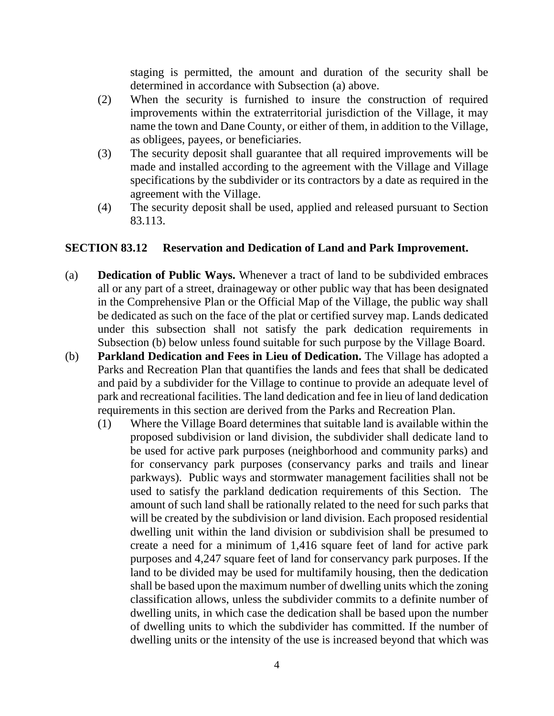staging is permitted, the amount and duration of the security shall be determined in accordance with Subsection (a) above.

- (2) When the security is furnished to insure the construction of required improvements within the extraterritorial jurisdiction of the Village, it may name the town and Dane County, or either of them, in addition to the Village, as obligees, payees, or beneficiaries.
- (3) The security deposit shall guarantee that all required improvements will be made and installed according to the agreement with the Village and Village specifications by the subdivider or its contractors by a date as required in the agreement with the Village.
- (4) The security deposit shall be used, applied and released pursuant to Section 83.113.

### **SECTION 83.12 Reservation and Dedication of Land and Park Improvement.**

- (a) **Dedication of Public Ways.** Whenever a tract of land to be subdivided embraces all or any part of a street, drainageway or other public way that has been designated in the Comprehensive Plan or the Official Map of the Village, the public way shall be dedicated as such on the face of the plat or certified survey map. Lands dedicated under this subsection shall not satisfy the park dedication requirements in Subsection (b) below unless found suitable for such purpose by the Village Board.
- (b) **Parkland Dedication and Fees in Lieu of Dedication.** The Village has adopted a Parks and Recreation Plan that quantifies the lands and fees that shall be dedicated and paid by a subdivider for the Village to continue to provide an adequate level of park and recreational facilities. The land dedication and fee in lieu of land dedication requirements in this section are derived from the Parks and Recreation Plan.
	- (1) Where the Village Board determines that suitable land is available within the proposed subdivision or land division, the subdivider shall dedicate land to be used for active park purposes (neighborhood and community parks) and for conservancy park purposes (conservancy parks and trails and linear parkways). Public ways and stormwater management facilities shall not be used to satisfy the parkland dedication requirements of this Section. The amount of such land shall be rationally related to the need for such parks that will be created by the subdivision or land division. Each proposed residential dwelling unit within the land division or subdivision shall be presumed to create a need for a minimum of 1,416 square feet of land for active park purposes and 4,247 square feet of land for conservancy park purposes. If the land to be divided may be used for multifamily housing, then the dedication shall be based upon the maximum number of dwelling units which the zoning classification allows, unless the subdivider commits to a definite number of dwelling units, in which case the dedication shall be based upon the number of dwelling units to which the subdivider has committed. If the number of dwelling units or the intensity of the use is increased beyond that which was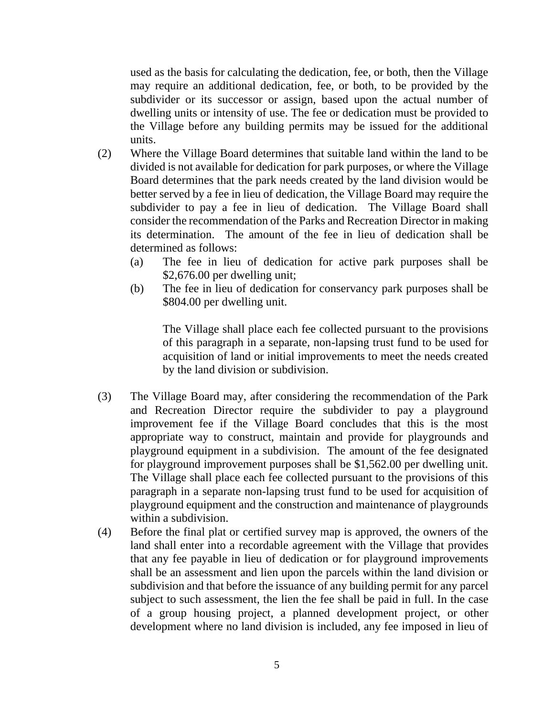used as the basis for calculating the dedication, fee, or both, then the Village may require an additional dedication, fee, or both, to be provided by the subdivider or its successor or assign, based upon the actual number of dwelling units or intensity of use. The fee or dedication must be provided to the Village before any building permits may be issued for the additional units.

- (2) Where the Village Board determines that suitable land within the land to be divided is not available for dedication for park purposes, or where the Village Board determines that the park needs created by the land division would be better served by a fee in lieu of dedication, the Village Board may require the subdivider to pay a fee in lieu of dedication. The Village Board shall consider the recommendation of the Parks and Recreation Director in making its determination. The amount of the fee in lieu of dedication shall be determined as follows:
	- (a) The fee in lieu of dedication for active park purposes shall be \$2,676.00 per dwelling unit;
	- (b) The fee in lieu of dedication for conservancy park purposes shall be \$804.00 per dwelling unit.

The Village shall place each fee collected pursuant to the provisions of this paragraph in a separate, non-lapsing trust fund to be used for acquisition of land or initial improvements to meet the needs created by the land division or subdivision.

- (3) The Village Board may, after considering the recommendation of the Park and Recreation Director require the subdivider to pay a playground improvement fee if the Village Board concludes that this is the most appropriate way to construct, maintain and provide for playgrounds and playground equipment in a subdivision. The amount of the fee designated for playground improvement purposes shall be \$1,562.00 per dwelling unit. The Village shall place each fee collected pursuant to the provisions of this paragraph in a separate non-lapsing trust fund to be used for acquisition of playground equipment and the construction and maintenance of playgrounds within a subdivision.
- (4) Before the final plat or certified survey map is approved, the owners of the land shall enter into a recordable agreement with the Village that provides that any fee payable in lieu of dedication or for playground improvements shall be an assessment and lien upon the parcels within the land division or subdivision and that before the issuance of any building permit for any parcel subject to such assessment, the lien the fee shall be paid in full. In the case of a group housing project, a planned development project, or other development where no land division is included, any fee imposed in lieu of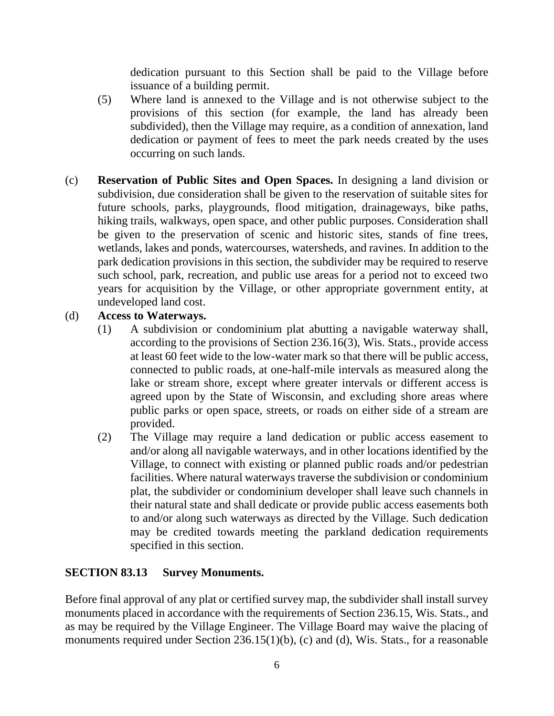dedication pursuant to this Section shall be paid to the Village before issuance of a building permit.

- (5) Where land is annexed to the Village and is not otherwise subject to the provisions of this section (for example, the land has already been subdivided), then the Village may require, as a condition of annexation, land dedication or payment of fees to meet the park needs created by the uses occurring on such lands.
- (c) **Reservation of Public Sites and Open Spaces.** In designing a land division or subdivision, due consideration shall be given to the reservation of suitable sites for future schools, parks, playgrounds, flood mitigation, drainageways, bike paths, hiking trails, walkways, open space, and other public purposes. Consideration shall be given to the preservation of scenic and historic sites, stands of fine trees, wetlands, lakes and ponds, watercourses, watersheds, and ravines. In addition to the park dedication provisions in this section, the subdivider may be required to reserve such school, park, recreation, and public use areas for a period not to exceed two years for acquisition by the Village, or other appropriate government entity, at undeveloped land cost.

### (d) **Access to Waterways.**

- (1) A subdivision or condominium plat abutting a navigable waterway shall, according to the provisions of Section 236.16(3), Wis. Stats., provide access at least 60 feet wide to the low-water mark so that there will be public access, connected to public roads, at one-half-mile intervals as measured along the lake or stream shore, except where greater intervals or different access is agreed upon by the State of Wisconsin, and excluding shore areas where public parks or open space, streets, or roads on either side of a stream are provided.
- (2) The Village may require a land dedication or public access easement to and/or along all navigable waterways, and in other locations identified by the Village, to connect with existing or planned public roads and/or pedestrian facilities. Where natural waterways traverse the subdivision or condominium plat, the subdivider or condominium developer shall leave such channels in their natural state and shall dedicate or provide public access easements both to and/or along such waterways as directed by the Village. Such dedication may be credited towards meeting the parkland dedication requirements specified in this section.

# **SECTION 83.13 Survey Monuments.**

Before final approval of any plat or certified survey map, the subdivider shall install survey monuments placed in accordance with the requirements of Section 236.15, Wis. Stats., and as may be required by the Village Engineer. The Village Board may waive the placing of monuments required under Section 236.15(1)(b), (c) and (d), Wis. Stats., for a reasonable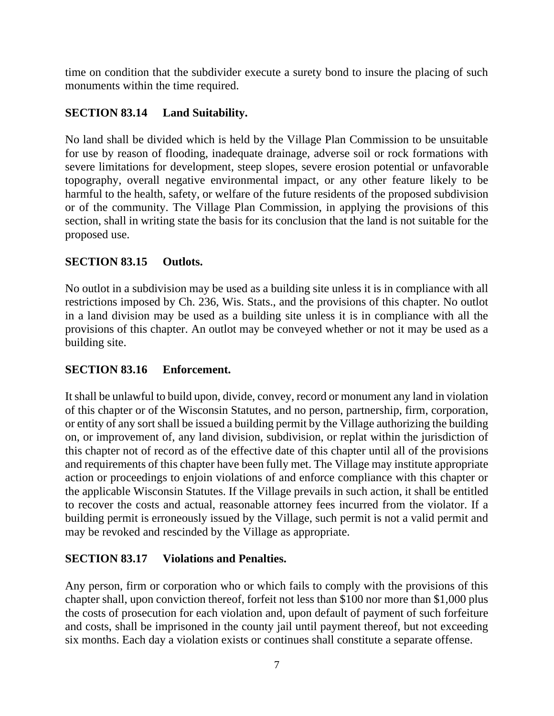time on condition that the subdivider execute a surety bond to insure the placing of such monuments within the time required.

### **SECTION 83.14 Land Suitability.**

No land shall be divided which is held by the Village Plan Commission to be unsuitable for use by reason of flooding, inadequate drainage, adverse soil or rock formations with severe limitations for development, steep slopes, severe erosion potential or unfavorable topography, overall negative environmental impact, or any other feature likely to be harmful to the health, safety, or welfare of the future residents of the proposed subdivision or of the community. The Village Plan Commission, in applying the provisions of this section, shall in writing state the basis for its conclusion that the land is not suitable for the proposed use.

### **SECTION 83.15 Outlots.**

No outlot in a subdivision may be used as a building site unless it is in compliance with all restrictions imposed by Ch. 236, Wis. Stats., and the provisions of this chapter. No outlot in a land division may be used as a building site unless it is in compliance with all the provisions of this chapter. An outlot may be conveyed whether or not it may be used as a building site.

### **SECTION 83.16 Enforcement.**

It shall be unlawful to build upon, divide, convey, record or monument any land in violation of this chapter or of the Wisconsin Statutes, and no person, partnership, firm, corporation, or entity of any sort shall be issued a building permit by the Village authorizing the building on, or improvement of, any land division, subdivision, or replat within the jurisdiction of this chapter not of record as of the effective date of this chapter until all of the provisions and requirements of this chapter have been fully met. The Village may institute appropriate action or proceedings to enjoin violations of and enforce compliance with this chapter or the applicable Wisconsin Statutes. If the Village prevails in such action, it shall be entitled to recover the costs and actual, reasonable attorney fees incurred from the violator. If a building permit is erroneously issued by the Village, such permit is not a valid permit and may be revoked and rescinded by the Village as appropriate.

### **SECTION 83.17 Violations and Penalties.**

Any person, firm or corporation who or which fails to comply with the provisions of this chapter shall, upon conviction thereof, forfeit not less than \$100 nor more than \$1,000 plus the costs of prosecution for each violation and, upon default of payment of such forfeiture and costs, shall be imprisoned in the county jail until payment thereof, but not exceeding six months. Each day a violation exists or continues shall constitute a separate offense.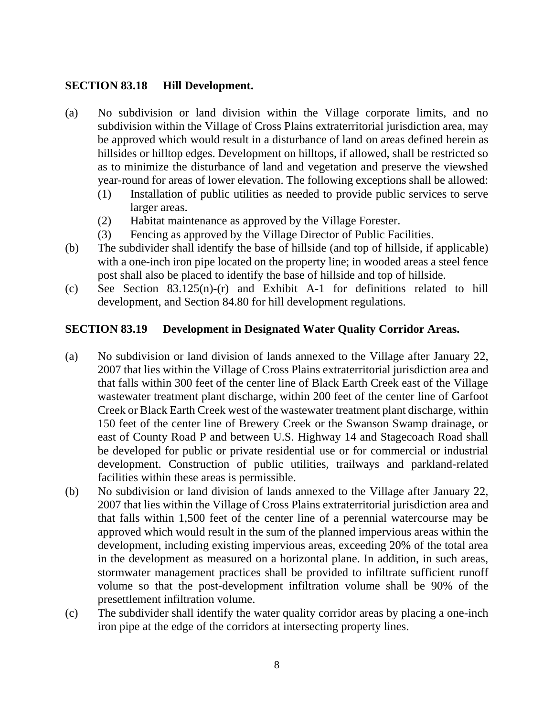### **SECTION 83.18 Hill Development.**

- (a) No subdivision or land division within the Village corporate limits, and no subdivision within the Village of Cross Plains extraterritorial jurisdiction area, may be approved which would result in a disturbance of land on areas defined herein as hillsides or hilltop edges. Development on hilltops, if allowed, shall be restricted so as to minimize the disturbance of land and vegetation and preserve the viewshed year-round for areas of lower elevation. The following exceptions shall be allowed:
	- (1) Installation of public utilities as needed to provide public services to serve larger areas.
	- (2) Habitat maintenance as approved by the Village Forester.
	- (3) Fencing as approved by the Village Director of Public Facilities.
- (b) The subdivider shall identify the base of hillside (and top of hillside, if applicable) with a one-inch iron pipe located on the property line; in wooded areas a steel fence post shall also be placed to identify the base of hillside and top of hillside.
- (c) See Section 83.125(n)-(r) and Exhibit A-1 for definitions related to hill development, and Section 84.80 for hill development regulations.

### **SECTION 83.19 Development in Designated Water Quality Corridor Areas.**

- (a) No subdivision or land division of lands annexed to the Village after January 22, 2007 that lies within the Village of Cross Plains extraterritorial jurisdiction area and that falls within 300 feet of the center line of Black Earth Creek east of the Village wastewater treatment plant discharge, within 200 feet of the center line of Garfoot Creek or Black Earth Creek west of the wastewater treatment plant discharge, within 150 feet of the center line of Brewery Creek or the Swanson Swamp drainage, or east of County Road P and between U.S. Highway 14 and Stagecoach Road shall be developed for public or private residential use or for commercial or industrial development. Construction of public utilities, trailways and parkland-related facilities within these areas is permissible.
- (b) No subdivision or land division of lands annexed to the Village after January 22, 2007 that lies within the Village of Cross Plains extraterritorial jurisdiction area and that falls within 1,500 feet of the center line of a perennial watercourse may be approved which would result in the sum of the planned impervious areas within the development, including existing impervious areas, exceeding 20% of the total area in the development as measured on a horizontal plane. In addition, in such areas, stormwater management practices shall be provided to infiltrate sufficient runoff volume so that the post-development infiltration volume shall be 90% of the presettlement infiltration volume.
- (c) The subdivider shall identify the water quality corridor areas by placing a one-inch iron pipe at the edge of the corridors at intersecting property lines.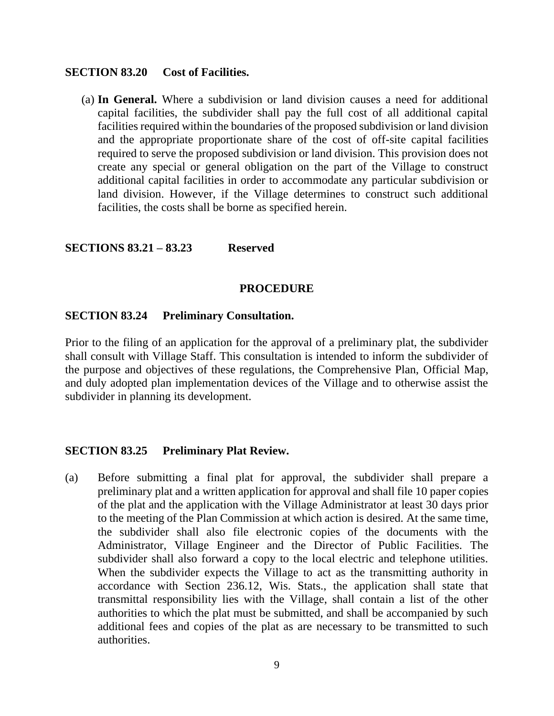#### **SECTION 83.20 Cost of Facilities.**

(a) **In General.** Where a subdivision or land division causes a need for additional capital facilities, the subdivider shall pay the full cost of all additional capital facilities required within the boundaries of the proposed subdivision or land division and the appropriate proportionate share of the cost of off-site capital facilities required to serve the proposed subdivision or land division. This provision does not create any special or general obligation on the part of the Village to construct additional capital facilities in order to accommodate any particular subdivision or land division. However, if the Village determines to construct such additional facilities, the costs shall be borne as specified herein.

#### **SECTIONS 83.21 – 83.23 Reserved**

#### **PROCEDURE**

#### **SECTION 83.24 Preliminary Consultation.**

Prior to the filing of an application for the approval of a preliminary plat, the subdivider shall consult with Village Staff. This consultation is intended to inform the subdivider of the purpose and objectives of these regulations, the Comprehensive Plan, Official Map, and duly adopted plan implementation devices of the Village and to otherwise assist the subdivider in planning its development.

#### **SECTION 83.25 Preliminary Plat Review.**

(a) Before submitting a final plat for approval, the subdivider shall prepare a preliminary plat and a written application for approval and shall file 10 paper copies of the plat and the application with the Village Administrator at least 30 days prior to the meeting of the Plan Commission at which action is desired. At the same time, the subdivider shall also file electronic copies of the documents with the Administrator, Village Engineer and the Director of Public Facilities. The subdivider shall also forward a copy to the local electric and telephone utilities. When the subdivider expects the Village to act as the transmitting authority in accordance with Section 236.12, Wis. Stats., the application shall state that transmittal responsibility lies with the Village, shall contain a list of the other authorities to which the plat must be submitted, and shall be accompanied by such additional fees and copies of the plat as are necessary to be transmitted to such authorities.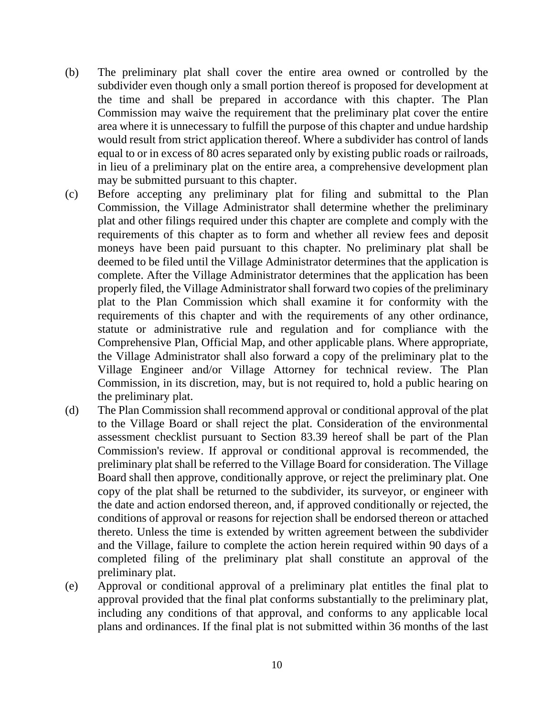- (b) The preliminary plat shall cover the entire area owned or controlled by the subdivider even though only a small portion thereof is proposed for development at the time and shall be prepared in accordance with this chapter. The Plan Commission may waive the requirement that the preliminary plat cover the entire area where it is unnecessary to fulfill the purpose of this chapter and undue hardship would result from strict application thereof. Where a subdivider has control of lands equal to or in excess of 80 acres separated only by existing public roads or railroads, in lieu of a preliminary plat on the entire area, a comprehensive development plan may be submitted pursuant to this chapter.
- (c) Before accepting any preliminary plat for filing and submittal to the Plan Commission, the Village Administrator shall determine whether the preliminary plat and other filings required under this chapter are complete and comply with the requirements of this chapter as to form and whether all review fees and deposit moneys have been paid pursuant to this chapter. No preliminary plat shall be deemed to be filed until the Village Administrator determines that the application is complete. After the Village Administrator determines that the application has been properly filed, the Village Administrator shall forward two copies of the preliminary plat to the Plan Commission which shall examine it for conformity with the requirements of this chapter and with the requirements of any other ordinance, statute or administrative rule and regulation and for compliance with the Comprehensive Plan, Official Map, and other applicable plans. Where appropriate, the Village Administrator shall also forward a copy of the preliminary plat to the Village Engineer and/or Village Attorney for technical review. The Plan Commission, in its discretion, may, but is not required to, hold a public hearing on the preliminary plat.
- (d) The Plan Commission shall recommend approval or conditional approval of the plat to the Village Board or shall reject the plat. Consideration of the environmental assessment checklist pursuant to Section 83.39 hereof shall be part of the Plan Commission's review. If approval or conditional approval is recommended, the preliminary plat shall be referred to the Village Board for consideration. The Village Board shall then approve, conditionally approve, or reject the preliminary plat. One copy of the plat shall be returned to the subdivider, its surveyor, or engineer with the date and action endorsed thereon, and, if approved conditionally or rejected, the conditions of approval or reasons for rejection shall be endorsed thereon or attached thereto. Unless the time is extended by written agreement between the subdivider and the Village, failure to complete the action herein required within 90 days of a completed filing of the preliminary plat shall constitute an approval of the preliminary plat.
- (e) Approval or conditional approval of a preliminary plat entitles the final plat to approval provided that the final plat conforms substantially to the preliminary plat, including any conditions of that approval, and conforms to any applicable local plans and ordinances. If the final plat is not submitted within 36 months of the last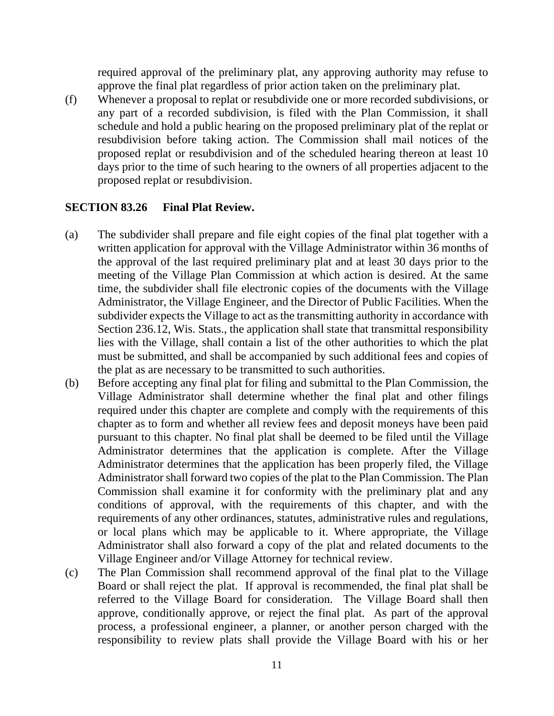required approval of the preliminary plat, any approving authority may refuse to approve the final plat regardless of prior action taken on the preliminary plat.

(f) Whenever a proposal to replat or resubdivide one or more recorded subdivisions, or any part of a recorded subdivision, is filed with the Plan Commission, it shall schedule and hold a public hearing on the proposed preliminary plat of the replat or resubdivision before taking action. The Commission shall mail notices of the proposed replat or resubdivision and of the scheduled hearing thereon at least 10 days prior to the time of such hearing to the owners of all properties adjacent to the proposed replat or resubdivision.

### **SECTION 83.26 Final Plat Review.**

- (a) The subdivider shall prepare and file eight copies of the final plat together with a written application for approval with the Village Administrator within 36 months of the approval of the last required preliminary plat and at least 30 days prior to the meeting of the Village Plan Commission at which action is desired. At the same time, the subdivider shall file electronic copies of the documents with the Village Administrator, the Village Engineer, and the Director of Public Facilities. When the subdivider expects the Village to act as the transmitting authority in accordance with Section 236.12, Wis. Stats., the application shall state that transmittal responsibility lies with the Village, shall contain a list of the other authorities to which the plat must be submitted, and shall be accompanied by such additional fees and copies of the plat as are necessary to be transmitted to such authorities.
- (b) Before accepting any final plat for filing and submittal to the Plan Commission, the Village Administrator shall determine whether the final plat and other filings required under this chapter are complete and comply with the requirements of this chapter as to form and whether all review fees and deposit moneys have been paid pursuant to this chapter. No final plat shall be deemed to be filed until the Village Administrator determines that the application is complete. After the Village Administrator determines that the application has been properly filed, the Village Administrator shall forward two copies of the plat to the Plan Commission. The Plan Commission shall examine it for conformity with the preliminary plat and any conditions of approval, with the requirements of this chapter, and with the requirements of any other ordinances, statutes, administrative rules and regulations, or local plans which may be applicable to it. Where appropriate, the Village Administrator shall also forward a copy of the plat and related documents to the Village Engineer and/or Village Attorney for technical review.
- (c) The Plan Commission shall recommend approval of the final plat to the Village Board or shall reject the plat. If approval is recommended, the final plat shall be referred to the Village Board for consideration. The Village Board shall then approve, conditionally approve, or reject the final plat. As part of the approval process, a professional engineer, a planner, or another person charged with the responsibility to review plats shall provide the Village Board with his or her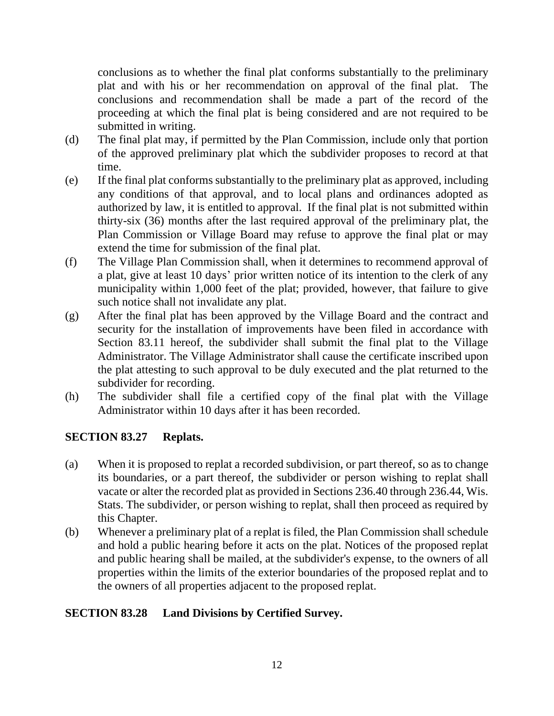conclusions as to whether the final plat conforms substantially to the preliminary plat and with his or her recommendation on approval of the final plat. The conclusions and recommendation shall be made a part of the record of the proceeding at which the final plat is being considered and are not required to be submitted in writing.

- (d) The final plat may, if permitted by the Plan Commission, include only that portion of the approved preliminary plat which the subdivider proposes to record at that time.
- (e) If the final plat conforms substantially to the preliminary plat as approved, including any conditions of that approval, and to local plans and ordinances adopted as authorized by law, it is entitled to approval. If the final plat is not submitted within thirty-six (36) months after the last required approval of the preliminary plat, the Plan Commission or Village Board may refuse to approve the final plat or may extend the time for submission of the final plat.
- (f) The Village Plan Commission shall, when it determines to recommend approval of a plat, give at least 10 days' prior written notice of its intention to the clerk of any municipality within 1,000 feet of the plat; provided, however, that failure to give such notice shall not invalidate any plat.
- (g) After the final plat has been approved by the Village Board and the contract and security for the installation of improvements have been filed in accordance with Section 83.11 hereof, the subdivider shall submit the final plat to the Village Administrator. The Village Administrator shall cause the certificate inscribed upon the plat attesting to such approval to be duly executed and the plat returned to the subdivider for recording.
- (h) The subdivider shall file a certified copy of the final plat with the Village Administrator within 10 days after it has been recorded.

# **SECTION 83.27 Replats.**

- (a) When it is proposed to replat a recorded subdivision, or part thereof, so as to change its boundaries, or a part thereof, the subdivider or person wishing to replat shall vacate or alter the recorded plat as provided in Sections 236.40 through 236.44, Wis. Stats. The subdivider, or person wishing to replat, shall then proceed as required by this Chapter.
- (b) Whenever a preliminary plat of a replat is filed, the Plan Commission shall schedule and hold a public hearing before it acts on the plat. Notices of the proposed replat and public hearing shall be mailed, at the subdivider's expense, to the owners of all properties within the limits of the exterior boundaries of the proposed replat and to the owners of all properties adjacent to the proposed replat.

# **SECTION 83.28 Land Divisions by Certified Survey.**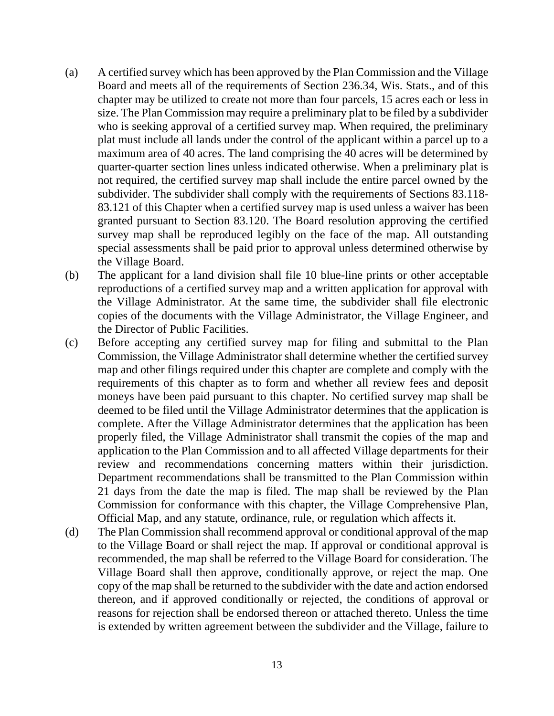- (a) A certified survey which has been approved by the Plan Commission and the Village Board and meets all of the requirements of Section 236.34, Wis. Stats., and of this chapter may be utilized to create not more than four parcels, 15 acres each or less in size. The Plan Commission may require a preliminary plat to be filed by a subdivider who is seeking approval of a certified survey map. When required, the preliminary plat must include all lands under the control of the applicant within a parcel up to a maximum area of 40 acres. The land comprising the 40 acres will be determined by quarter-quarter section lines unless indicated otherwise. When a preliminary plat is not required, the certified survey map shall include the entire parcel owned by the subdivider. The subdivider shall comply with the requirements of Sections 83.118- 83.121 of this Chapter when a certified survey map is used unless a waiver has been granted pursuant to Section 83.120. The Board resolution approving the certified survey map shall be reproduced legibly on the face of the map. All outstanding special assessments shall be paid prior to approval unless determined otherwise by the Village Board.
- (b) The applicant for a land division shall file 10 blue-line prints or other acceptable reproductions of a certified survey map and a written application for approval with the Village Administrator. At the same time, the subdivider shall file electronic copies of the documents with the Village Administrator, the Village Engineer, and the Director of Public Facilities.
- (c) Before accepting any certified survey map for filing and submittal to the Plan Commission, the Village Administrator shall determine whether the certified survey map and other filings required under this chapter are complete and comply with the requirements of this chapter as to form and whether all review fees and deposit moneys have been paid pursuant to this chapter. No certified survey map shall be deemed to be filed until the Village Administrator determines that the application is complete. After the Village Administrator determines that the application has been properly filed, the Village Administrator shall transmit the copies of the map and application to the Plan Commission and to all affected Village departments for their review and recommendations concerning matters within their jurisdiction. Department recommendations shall be transmitted to the Plan Commission within 21 days from the date the map is filed. The map shall be reviewed by the Plan Commission for conformance with this chapter, the Village Comprehensive Plan, Official Map, and any statute, ordinance, rule, or regulation which affects it.
- (d) The Plan Commission shall recommend approval or conditional approval of the map to the Village Board or shall reject the map. If approval or conditional approval is recommended, the map shall be referred to the Village Board for consideration. The Village Board shall then approve, conditionally approve, or reject the map. One copy of the map shall be returned to the subdivider with the date and action endorsed thereon, and if approved conditionally or rejected, the conditions of approval or reasons for rejection shall be endorsed thereon or attached thereto. Unless the time is extended by written agreement between the subdivider and the Village, failure to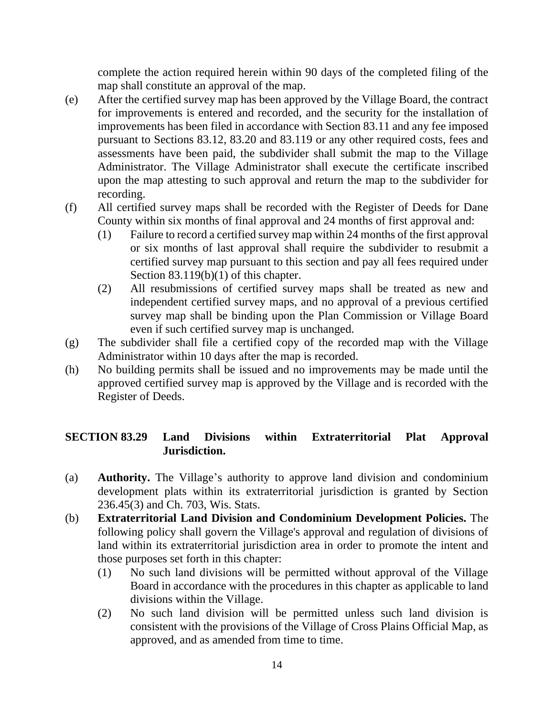complete the action required herein within 90 days of the completed filing of the map shall constitute an approval of the map.

- (e) After the certified survey map has been approved by the Village Board, the contract for improvements is entered and recorded, and the security for the installation of improvements has been filed in accordance with Section 83.11 and any fee imposed pursuant to Sections 83.12, 83.20 and 83.119 or any other required costs, fees and assessments have been paid, the subdivider shall submit the map to the Village Administrator. The Village Administrator shall execute the certificate inscribed upon the map attesting to such approval and return the map to the subdivider for recording.
- (f) All certified survey maps shall be recorded with the Register of Deeds for Dane County within six months of final approval and 24 months of first approval and:
	- (1) Failure to record a certified survey map within 24 months of the first approval or six months of last approval shall require the subdivider to resubmit a certified survey map pursuant to this section and pay all fees required under Section 83.119(b)(1) of this chapter.
	- (2) All resubmissions of certified survey maps shall be treated as new and independent certified survey maps, and no approval of a previous certified survey map shall be binding upon the Plan Commission or Village Board even if such certified survey map is unchanged.
- (g) The subdivider shall file a certified copy of the recorded map with the Village Administrator within 10 days after the map is recorded.
- (h) No building permits shall be issued and no improvements may be made until the approved certified survey map is approved by the Village and is recorded with the Register of Deeds.

# **SECTION 83.29 Land Divisions within Extraterritorial Plat Approval Jurisdiction.**

- (a) **Authority.** The Village's authority to approve land division and condominium development plats within its extraterritorial jurisdiction is granted by Section 236.45(3) and Ch. 703, Wis. Stats.
- (b) **Extraterritorial Land Division and Condominium Development Policies.** The following policy shall govern the Village's approval and regulation of divisions of land within its extraterritorial jurisdiction area in order to promote the intent and those purposes set forth in this chapter:
	- (1) No such land divisions will be permitted without approval of the Village Board in accordance with the procedures in this chapter as applicable to land divisions within the Village.
	- (2) No such land division will be permitted unless such land division is consistent with the provisions of the Village of Cross Plains Official Map, as approved, and as amended from time to time.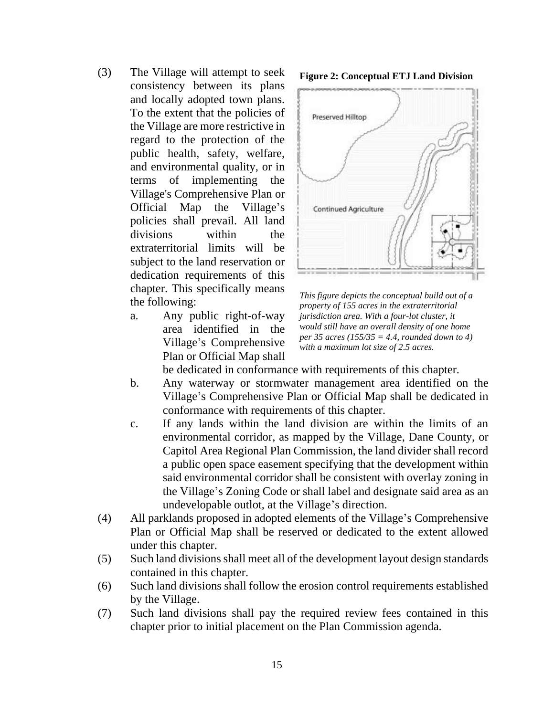- (3) The Village will attempt to seek consistency between its plans and locally adopted town plans. To the extent that the policies of the Village are more restrictive in regard to the protection of the public health, safety, welfare, and environmental quality, or in terms of implementing the Village's Comprehensive Plan or Official Map the Village's policies shall prevail. All land divisions within the extraterritorial limits will be subject to the land reservation or dedication requirements of this chapter. This specifically means the following:
	- a. Any public right-of-way area identified in the Village's Comprehensive Plan or Official Map shall





*This figure depicts the conceptual build out of a property of 155 acres in the extraterritorial jurisdiction area. With a four-lot cluster, it would still have an overall density of one home per 35 acres (155/35 = 4.4, rounded down to 4) with a maximum lot size of 2.5 acres.*

be dedicated in conformance with requirements of this chapter.

- b. Any waterway or stormwater management area identified on the Village's Comprehensive Plan or Official Map shall be dedicated in conformance with requirements of this chapter.
- c. If any lands within the land division are within the limits of an environmental corridor, as mapped by the Village, Dane County, or Capitol Area Regional Plan Commission, the land divider shall record a public open space easement specifying that the development within said environmental corridor shall be consistent with overlay zoning in the Village's Zoning Code or shall label and designate said area as an undevelopable outlot, at the Village's direction.
- (4) All parklands proposed in adopted elements of the Village's Comprehensive Plan or Official Map shall be reserved or dedicated to the extent allowed under this chapter.
- (5) Such land divisions shall meet all of the development layout design standards contained in this chapter.
- (6) Such land divisions shall follow the erosion control requirements established by the Village.
- (7) Such land divisions shall pay the required review fees contained in this chapter prior to initial placement on the Plan Commission agenda.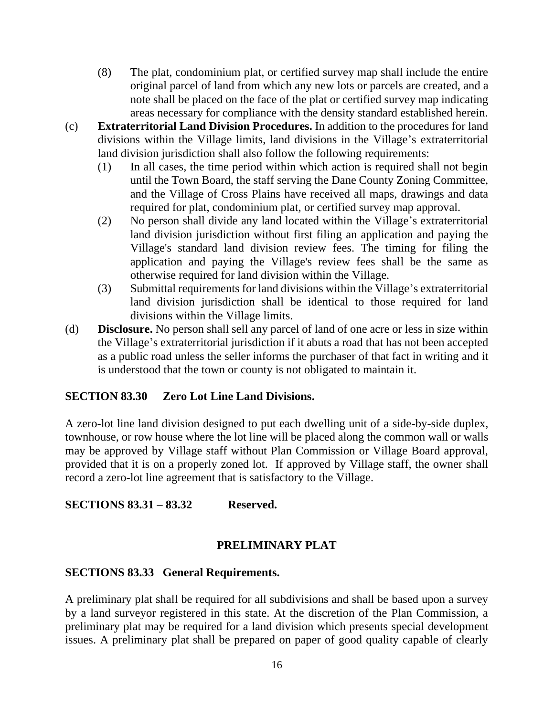- (8) The plat, condominium plat, or certified survey map shall include the entire original parcel of land from which any new lots or parcels are created, and a note shall be placed on the face of the plat or certified survey map indicating areas necessary for compliance with the density standard established herein.
- (c) **Extraterritorial Land Division Procedures.** In addition to the procedures for land divisions within the Village limits, land divisions in the Village's extraterritorial land division jurisdiction shall also follow the following requirements:
	- (1) In all cases, the time period within which action is required shall not begin until the Town Board, the staff serving the Dane County Zoning Committee, and the Village of Cross Plains have received all maps, drawings and data required for plat, condominium plat, or certified survey map approval.
	- (2) No person shall divide any land located within the Village's extraterritorial land division jurisdiction without first filing an application and paying the Village's standard land division review fees. The timing for filing the application and paying the Village's review fees shall be the same as otherwise required for land division within the Village.
	- (3) Submittal requirements for land divisions within the Village's extraterritorial land division jurisdiction shall be identical to those required for land divisions within the Village limits.
- (d) **Disclosure.** No person shall sell any parcel of land of one acre or less in size within the Village's extraterritorial jurisdiction if it abuts a road that has not been accepted as a public road unless the seller informs the purchaser of that fact in writing and it is understood that the town or county is not obligated to maintain it.

### **SECTION 83.30 Zero Lot Line Land Divisions.**

A zero-lot line land division designed to put each dwelling unit of a side-by-side duplex, townhouse, or row house where the lot line will be placed along the common wall or walls may be approved by Village staff without Plan Commission or Village Board approval, provided that it is on a properly zoned lot. If approved by Village staff, the owner shall record a zero-lot line agreement that is satisfactory to the Village.

### **SECTIONS 83.31 – 83.32 Reserved.**

### **PRELIMINARY PLAT**

#### **SECTIONS 83.33 General Requirements.**

A preliminary plat shall be required for all subdivisions and shall be based upon a survey by a land surveyor registered in this state. At the discretion of the Plan Commission, a preliminary plat may be required for a land division which presents special development issues. A preliminary plat shall be prepared on paper of good quality capable of clearly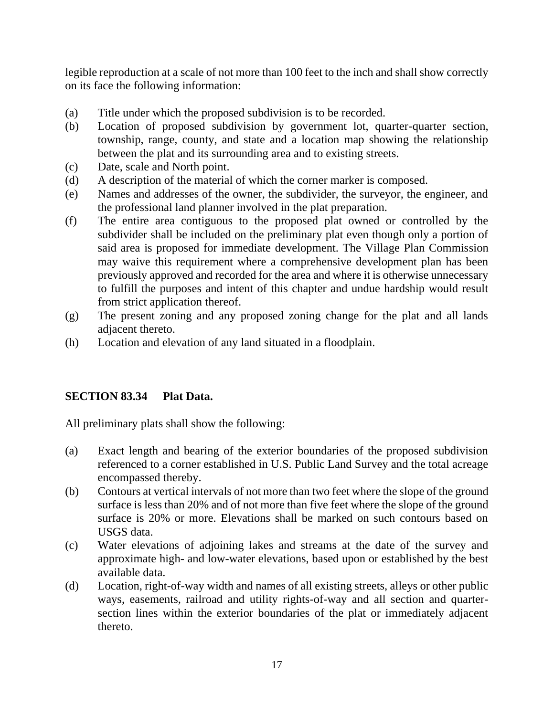legible reproduction at a scale of not more than 100 feet to the inch and shall show correctly on its face the following information:

- (a) Title under which the proposed subdivision is to be recorded.
- (b) Location of proposed subdivision by government lot, quarter-quarter section, township, range, county, and state and a location map showing the relationship between the plat and its surrounding area and to existing streets.
- (c) Date, scale and North point.
- (d) A description of the material of which the corner marker is composed.
- (e) Names and addresses of the owner, the subdivider, the surveyor, the engineer, and the professional land planner involved in the plat preparation.
- (f) The entire area contiguous to the proposed plat owned or controlled by the subdivider shall be included on the preliminary plat even though only a portion of said area is proposed for immediate development. The Village Plan Commission may waive this requirement where a comprehensive development plan has been previously approved and recorded for the area and where it is otherwise unnecessary to fulfill the purposes and intent of this chapter and undue hardship would result from strict application thereof.
- (g) The present zoning and any proposed zoning change for the plat and all lands adjacent thereto.
- (h) Location and elevation of any land situated in a floodplain.

# **SECTION 83.34 Plat Data.**

All preliminary plats shall show the following:

- (a) Exact length and bearing of the exterior boundaries of the proposed subdivision referenced to a corner established in U.S. Public Land Survey and the total acreage encompassed thereby.
- (b) Contours at vertical intervals of not more than two feet where the slope of the ground surface is less than 20% and of not more than five feet where the slope of the ground surface is 20% or more. Elevations shall be marked on such contours based on USGS data.
- (c) Water elevations of adjoining lakes and streams at the date of the survey and approximate high- and low-water elevations, based upon or established by the best available data.
- (d) Location, right-of-way width and names of all existing streets, alleys or other public ways, easements, railroad and utility rights-of-way and all section and quartersection lines within the exterior boundaries of the plat or immediately adjacent thereto.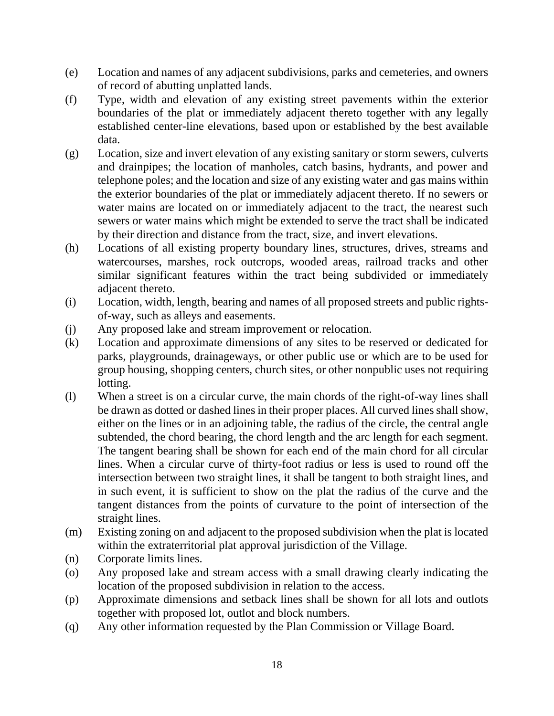- (e) Location and names of any adjacent subdivisions, parks and cemeteries, and owners of record of abutting unplatted lands.
- (f) Type, width and elevation of any existing street pavements within the exterior boundaries of the plat or immediately adjacent thereto together with any legally established center-line elevations, based upon or established by the best available data.
- (g) Location, size and invert elevation of any existing sanitary or storm sewers, culverts and drainpipes; the location of manholes, catch basins, hydrants, and power and telephone poles; and the location and size of any existing water and gas mains within the exterior boundaries of the plat or immediately adjacent thereto. If no sewers or water mains are located on or immediately adjacent to the tract, the nearest such sewers or water mains which might be extended to serve the tract shall be indicated by their direction and distance from the tract, size, and invert elevations.
- (h) Locations of all existing property boundary lines, structures, drives, streams and watercourses, marshes, rock outcrops, wooded areas, railroad tracks and other similar significant features within the tract being subdivided or immediately adjacent thereto.
- (i) Location, width, length, bearing and names of all proposed streets and public rightsof-way, such as alleys and easements.
- (j) Any proposed lake and stream improvement or relocation.
- (k) Location and approximate dimensions of any sites to be reserved or dedicated for parks, playgrounds, drainageways, or other public use or which are to be used for group housing, shopping centers, church sites, or other nonpublic uses not requiring lotting.
- (l) When a street is on a circular curve, the main chords of the right-of-way lines shall be drawn as dotted or dashed lines in their proper places. All curved lines shall show, either on the lines or in an adjoining table, the radius of the circle, the central angle subtended, the chord bearing, the chord length and the arc length for each segment. The tangent bearing shall be shown for each end of the main chord for all circular lines. When a circular curve of thirty-foot radius or less is used to round off the intersection between two straight lines, it shall be tangent to both straight lines, and in such event, it is sufficient to show on the plat the radius of the curve and the tangent distances from the points of curvature to the point of intersection of the straight lines.
- (m) Existing zoning on and adjacent to the proposed subdivision when the plat is located within the extraterritorial plat approval jurisdiction of the Village.
- (n) Corporate limits lines.
- (o) Any proposed lake and stream access with a small drawing clearly indicating the location of the proposed subdivision in relation to the access.
- (p) Approximate dimensions and setback lines shall be shown for all lots and outlots together with proposed lot, outlot and block numbers.
- (q) Any other information requested by the Plan Commission or Village Board.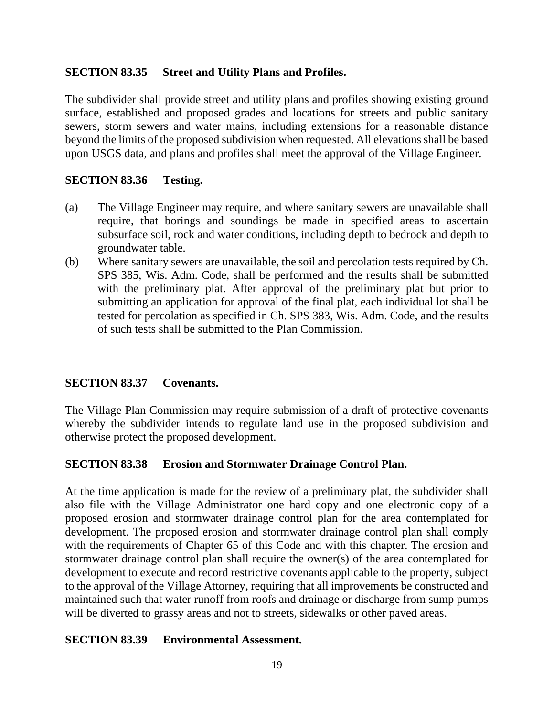### **SECTION 83.35 Street and Utility Plans and Profiles.**

The subdivider shall provide street and utility plans and profiles showing existing ground surface, established and proposed grades and locations for streets and public sanitary sewers, storm sewers and water mains, including extensions for a reasonable distance beyond the limits of the proposed subdivision when requested. All elevations shall be based upon USGS data, and plans and profiles shall meet the approval of the Village Engineer.

### **SECTION 83.36 Testing.**

- (a) The Village Engineer may require, and where sanitary sewers are unavailable shall require, that borings and soundings be made in specified areas to ascertain subsurface soil, rock and water conditions, including depth to bedrock and depth to groundwater table.
- (b) Where sanitary sewers are unavailable, the soil and percolation tests required by Ch. SPS 385, Wis. Adm. Code, shall be performed and the results shall be submitted with the preliminary plat. After approval of the preliminary plat but prior to submitting an application for approval of the final plat, each individual lot shall be tested for percolation as specified in Ch. SPS 383, Wis. Adm. Code, and the results of such tests shall be submitted to the Plan Commission.

### **SECTION 83.37 Covenants.**

The Village Plan Commission may require submission of a draft of protective covenants whereby the subdivider intends to regulate land use in the proposed subdivision and otherwise protect the proposed development.

### **SECTION 83.38 Erosion and Stormwater Drainage Control Plan.**

At the time application is made for the review of a preliminary plat, the subdivider shall also file with the Village Administrator one hard copy and one electronic copy of a proposed erosion and stormwater drainage control plan for the area contemplated for development. The proposed erosion and stormwater drainage control plan shall comply with the requirements of Chapter 65 of this Code and with this chapter. The erosion and stormwater drainage control plan shall require the owner(s) of the area contemplated for development to execute and record restrictive covenants applicable to the property, subject to the approval of the Village Attorney, requiring that all improvements be constructed and maintained such that water runoff from roofs and drainage or discharge from sump pumps will be diverted to grassy areas and not to streets, sidewalks or other paved areas.

#### **SECTION 83.39 Environmental Assessment.**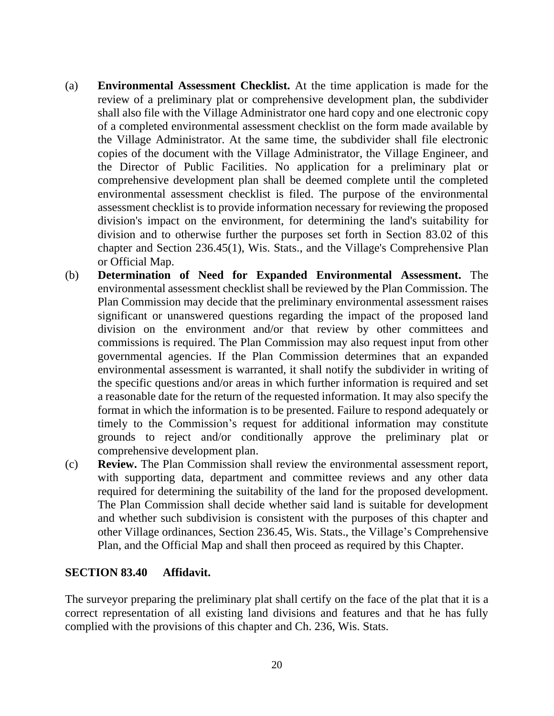- (a) **Environmental Assessment Checklist.** At the time application is made for the review of a preliminary plat or comprehensive development plan, the subdivider shall also file with the Village Administrator one hard copy and one electronic copy of a completed environmental assessment checklist on the form made available by the Village Administrator. At the same time, the subdivider shall file electronic copies of the document with the Village Administrator, the Village Engineer, and the Director of Public Facilities. No application for a preliminary plat or comprehensive development plan shall be deemed complete until the completed environmental assessment checklist is filed. The purpose of the environmental assessment checklist is to provide information necessary for reviewing the proposed division's impact on the environment, for determining the land's suitability for division and to otherwise further the purposes set forth in Section 83.02 of this chapter and Section 236.45(1), Wis. Stats., and the Village's Comprehensive Plan or Official Map.
- (b) **Determination of Need for Expanded Environmental Assessment.** The environmental assessment checklist shall be reviewed by the Plan Commission. The Plan Commission may decide that the preliminary environmental assessment raises significant or unanswered questions regarding the impact of the proposed land division on the environment and/or that review by other committees and commissions is required. The Plan Commission may also request input from other governmental agencies. If the Plan Commission determines that an expanded environmental assessment is warranted, it shall notify the subdivider in writing of the specific questions and/or areas in which further information is required and set a reasonable date for the return of the requested information. It may also specify the format in which the information is to be presented. Failure to respond adequately or timely to the Commission's request for additional information may constitute grounds to reject and/or conditionally approve the preliminary plat or comprehensive development plan.
- (c) **Review.** The Plan Commission shall review the environmental assessment report, with supporting data, department and committee reviews and any other data required for determining the suitability of the land for the proposed development. The Plan Commission shall decide whether said land is suitable for development and whether such subdivision is consistent with the purposes of this chapter and other Village ordinances, Section 236.45, Wis. Stats., the Village's Comprehensive Plan, and the Official Map and shall then proceed as required by this Chapter.

#### **SECTION 83.40 Affidavit.**

The surveyor preparing the preliminary plat shall certify on the face of the plat that it is a correct representation of all existing land divisions and features and that he has fully complied with the provisions of this chapter and Ch. 236, Wis. Stats.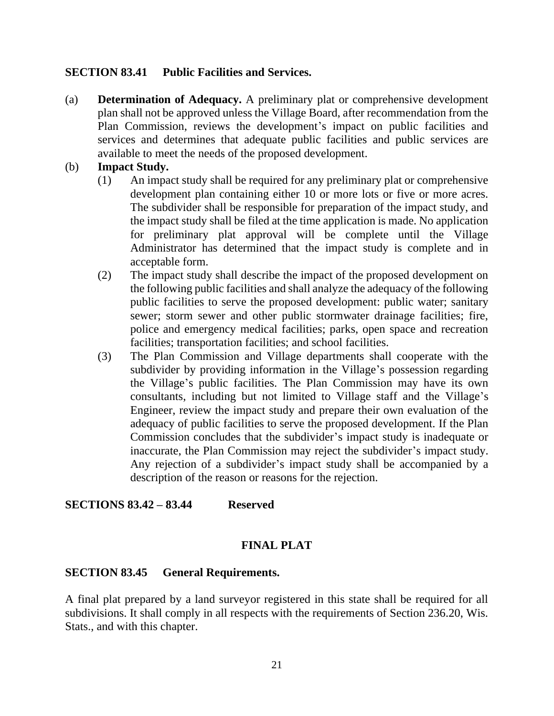#### **SECTION 83.41 Public Facilities and Services.**

(a) **Determination of Adequacy.** A preliminary plat or comprehensive development plan shall not be approved unless the Village Board, after recommendation from the Plan Commission, reviews the development's impact on public facilities and services and determines that adequate public facilities and public services are available to meet the needs of the proposed development.

### (b) **Impact Study.**

- (1) An impact study shall be required for any preliminary plat or comprehensive development plan containing either 10 or more lots or five or more acres. The subdivider shall be responsible for preparation of the impact study, and the impact study shall be filed at the time application is made. No application for preliminary plat approval will be complete until the Village Administrator has determined that the impact study is complete and in acceptable form.
- (2) The impact study shall describe the impact of the proposed development on the following public facilities and shall analyze the adequacy of the following public facilities to serve the proposed development: public water; sanitary sewer; storm sewer and other public stormwater drainage facilities; fire, police and emergency medical facilities; parks, open space and recreation facilities; transportation facilities; and school facilities.
- (3) The Plan Commission and Village departments shall cooperate with the subdivider by providing information in the Village's possession regarding the Village's public facilities. The Plan Commission may have its own consultants, including but not limited to Village staff and the Village's Engineer, review the impact study and prepare their own evaluation of the adequacy of public facilities to serve the proposed development. If the Plan Commission concludes that the subdivider's impact study is inadequate or inaccurate, the Plan Commission may reject the subdivider's impact study. Any rejection of a subdivider's impact study shall be accompanied by a description of the reason or reasons for the rejection.

### **SECTIONS 83.42 – 83.44 Reserved**

### **FINAL PLAT**

#### **SECTION 83.45 General Requirements.**

A final plat prepared by a land surveyor registered in this state shall be required for all subdivisions. It shall comply in all respects with the requirements of Section 236.20, Wis. Stats., and with this chapter.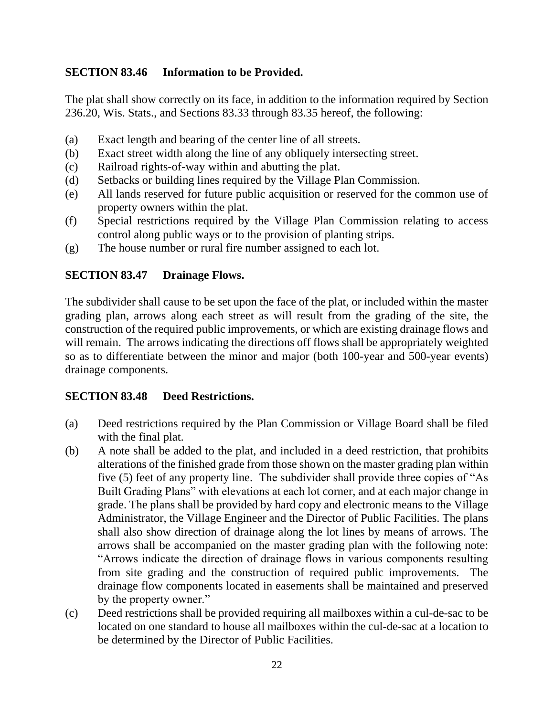### **SECTION 83.46 Information to be Provided.**

The plat shall show correctly on its face, in addition to the information required by Section 236.20, Wis. Stats., and Sections 83.33 through 83.35 hereof, the following:

- (a) Exact length and bearing of the center line of all streets.
- (b) Exact street width along the line of any obliquely intersecting street.
- (c) Railroad rights-of-way within and abutting the plat.
- (d) Setbacks or building lines required by the Village Plan Commission.
- (e) All lands reserved for future public acquisition or reserved for the common use of property owners within the plat.
- (f) Special restrictions required by the Village Plan Commission relating to access control along public ways or to the provision of planting strips.
- (g) The house number or rural fire number assigned to each lot.

### **SECTION 83.47 Drainage Flows.**

The subdivider shall cause to be set upon the face of the plat, or included within the master grading plan, arrows along each street as will result from the grading of the site, the construction of the required public improvements, or which are existing drainage flows and will remain. The arrows indicating the directions off flows shall be appropriately weighted so as to differentiate between the minor and major (both 100-year and 500-year events) drainage components.

### **SECTION 83.48 Deed Restrictions.**

- (a) Deed restrictions required by the Plan Commission or Village Board shall be filed with the final plat.
- (b) A note shall be added to the plat, and included in a deed restriction, that prohibits alterations of the finished grade from those shown on the master grading plan within five (5) feet of any property line. The subdivider shall provide three copies of "As Built Grading Plans" with elevations at each lot corner, and at each major change in grade. The plans shall be provided by hard copy and electronic means to the Village Administrator, the Village Engineer and the Director of Public Facilities. The plans shall also show direction of drainage along the lot lines by means of arrows. The arrows shall be accompanied on the master grading plan with the following note: "Arrows indicate the direction of drainage flows in various components resulting from site grading and the construction of required public improvements. The drainage flow components located in easements shall be maintained and preserved by the property owner."
- (c) Deed restrictions shall be provided requiring all mailboxes within a cul-de-sac to be located on one standard to house all mailboxes within the cul-de-sac at a location to be determined by the Director of Public Facilities.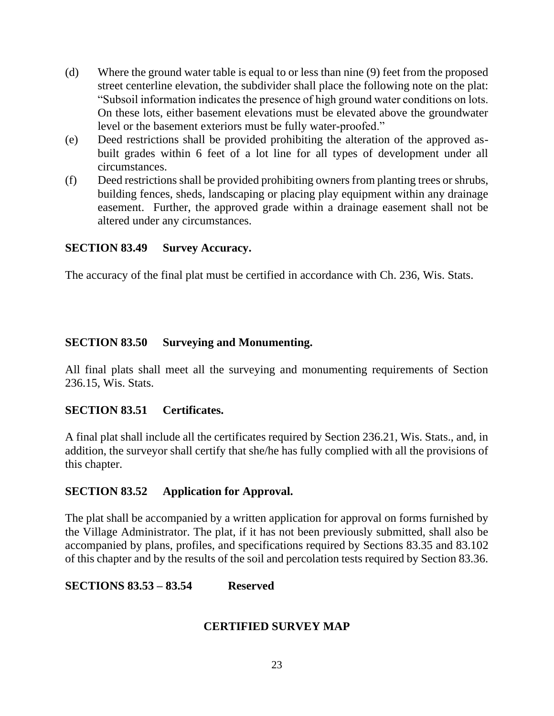- (d) Where the ground water table is equal to or less than nine (9) feet from the proposed street centerline elevation, the subdivider shall place the following note on the plat: "Subsoil information indicates the presence of high ground water conditions on lots. On these lots, either basement elevations must be elevated above the groundwater level or the basement exteriors must be fully water-proofed."
- (e) Deed restrictions shall be provided prohibiting the alteration of the approved asbuilt grades within 6 feet of a lot line for all types of development under all circumstances.
- (f) Deed restrictions shall be provided prohibiting owners from planting trees or shrubs, building fences, sheds, landscaping or placing play equipment within any drainage easement. Further, the approved grade within a drainage easement shall not be altered under any circumstances.

### **SECTION 83.49 Survey Accuracy.**

The accuracy of the final plat must be certified in accordance with Ch. 236, Wis. Stats.

### **SECTION 83.50 Surveying and Monumenting.**

All final plats shall meet all the surveying and monumenting requirements of Section 236.15, Wis. Stats.

### **SECTION 83.51 Certificates.**

A final plat shall include all the certificates required by Section 236.21, Wis. Stats., and, in addition, the surveyor shall certify that she/he has fully complied with all the provisions of this chapter.

### **SECTION 83.52 Application for Approval.**

The plat shall be accompanied by a written application for approval on forms furnished by the Village Administrator. The plat, if it has not been previously submitted, shall also be accompanied by plans, profiles, and specifications required by Sections 83.35 and 83.102 of this chapter and by the results of the soil and percolation tests required by Section 83.36.

### **SECTIONS 83.53 – 83.54 Reserved**

# **CERTIFIED SURVEY MAP**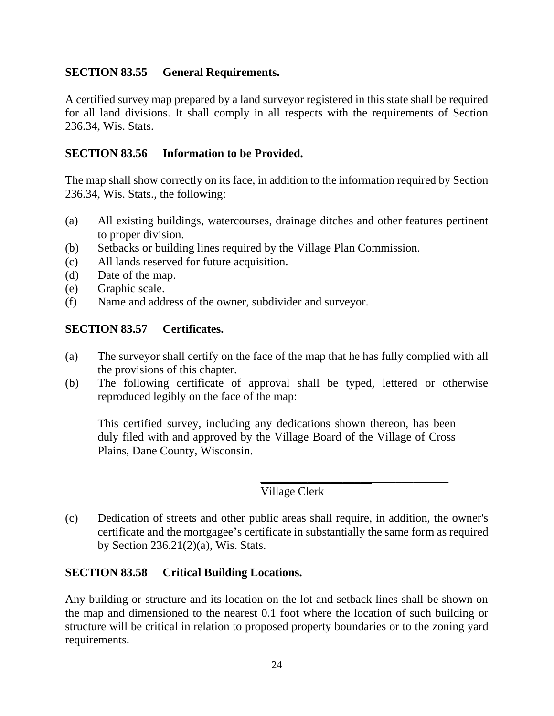### **SECTION 83.55 General Requirements.**

A certified survey map prepared by a land surveyor registered in this state shall be required for all land divisions. It shall comply in all respects with the requirements of Section 236.34, Wis. Stats.

### **SECTION 83.56 Information to be Provided.**

The map shall show correctly on its face, in addition to the information required by Section 236.34, Wis. Stats., the following:

- (a) All existing buildings, watercourses, drainage ditches and other features pertinent to proper division.
- (b) Setbacks or building lines required by the Village Plan Commission.
- (c) All lands reserved for future acquisition.
- (d) Date of the map.
- (e) Graphic scale.
- (f) Name and address of the owner, subdivider and surveyor.

### **SECTION 83.57 Certificates.**

- (a) The surveyor shall certify on the face of the map that he has fully complied with all the provisions of this chapter.
- (b) The following certificate of approval shall be typed, lettered or otherwise reproduced legibly on the face of the map:

This certified survey, including any dedications shown thereon, has been duly filed with and approved by the Village Board of the Village of Cross Plains, Dane County, Wisconsin.

# Village Clerk

\_\_\_\_\_\_\_\_\_\_\_\_\_\_\_\_\_\_\_\_\_\_\_\_\_\_\_\_\_\_\_\_

(c) Dedication of streets and other public areas shall require, in addition, the owner's certificate and the mortgagee's certificate in substantially the same form as required by Section 236.21(2)(a), Wis. Stats.

#### **SECTION 83.58 Critical Building Locations.**

Any building or structure and its location on the lot and setback lines shall be shown on the map and dimensioned to the nearest 0.1 foot where the location of such building or structure will be critical in relation to proposed property boundaries or to the zoning yard requirements.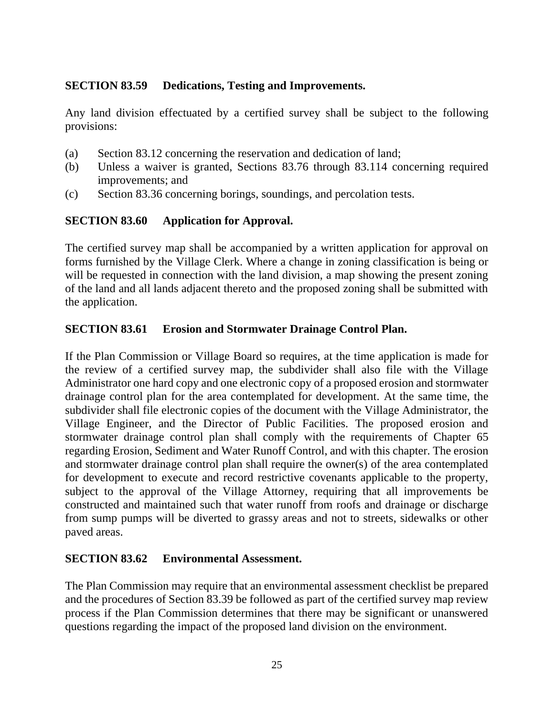### **SECTION 83.59 Dedications, Testing and Improvements.**

Any land division effectuated by a certified survey shall be subject to the following provisions:

- (a) Section 83.12 concerning the reservation and dedication of land;
- (b) Unless a waiver is granted, Sections 83.76 through 83.114 concerning required improvements; and
- (c) Section 83.36 concerning borings, soundings, and percolation tests.

### **SECTION 83.60 Application for Approval.**

The certified survey map shall be accompanied by a written application for approval on forms furnished by the Village Clerk. Where a change in zoning classification is being or will be requested in connection with the land division, a map showing the present zoning of the land and all lands adjacent thereto and the proposed zoning shall be submitted with the application.

### **SECTION 83.61 Erosion and Stormwater Drainage Control Plan.**

If the Plan Commission or Village Board so requires, at the time application is made for the review of a certified survey map, the subdivider shall also file with the Village Administrator one hard copy and one electronic copy of a proposed erosion and stormwater drainage control plan for the area contemplated for development. At the same time, the subdivider shall file electronic copies of the document with the Village Administrator, the Village Engineer, and the Director of Public Facilities. The proposed erosion and stormwater drainage control plan shall comply with the requirements of Chapter 65 regarding Erosion, Sediment and Water Runoff Control, and with this chapter. The erosion and stormwater drainage control plan shall require the owner(s) of the area contemplated for development to execute and record restrictive covenants applicable to the property, subject to the approval of the Village Attorney, requiring that all improvements be constructed and maintained such that water runoff from roofs and drainage or discharge from sump pumps will be diverted to grassy areas and not to streets, sidewalks or other paved areas.

### **SECTION 83.62 Environmental Assessment.**

The Plan Commission may require that an environmental assessment checklist be prepared and the procedures of Section 83.39 be followed as part of the certified survey map review process if the Plan Commission determines that there may be significant or unanswered questions regarding the impact of the proposed land division on the environment.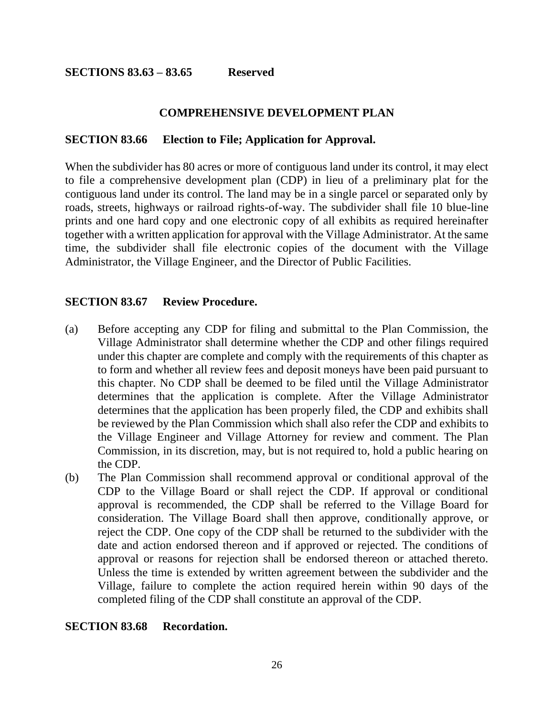#### **COMPREHENSIVE DEVELOPMENT PLAN**

#### **SECTION 83.66 Election to File; Application for Approval.**

When the subdivider has 80 acres or more of contiguous land under its control, it may elect to file a comprehensive development plan (CDP) in lieu of a preliminary plat for the contiguous land under its control. The land may be in a single parcel or separated only by roads, streets, highways or railroad rights-of-way. The subdivider shall file 10 blue-line prints and one hard copy and one electronic copy of all exhibits as required hereinafter together with a written application for approval with the Village Administrator. At the same time, the subdivider shall file electronic copies of the document with the Village Administrator, the Village Engineer, and the Director of Public Facilities.

#### **SECTION 83.67 Review Procedure.**

- (a) Before accepting any CDP for filing and submittal to the Plan Commission, the Village Administrator shall determine whether the CDP and other filings required under this chapter are complete and comply with the requirements of this chapter as to form and whether all review fees and deposit moneys have been paid pursuant to this chapter. No CDP shall be deemed to be filed until the Village Administrator determines that the application is complete. After the Village Administrator determines that the application has been properly filed, the CDP and exhibits shall be reviewed by the Plan Commission which shall also refer the CDP and exhibits to the Village Engineer and Village Attorney for review and comment. The Plan Commission, in its discretion, may, but is not required to, hold a public hearing on the CDP.
- (b) The Plan Commission shall recommend approval or conditional approval of the CDP to the Village Board or shall reject the CDP. If approval or conditional approval is recommended, the CDP shall be referred to the Village Board for consideration. The Village Board shall then approve, conditionally approve, or reject the CDP. One copy of the CDP shall be returned to the subdivider with the date and action endorsed thereon and if approved or rejected. The conditions of approval or reasons for rejection shall be endorsed thereon or attached thereto. Unless the time is extended by written agreement between the subdivider and the Village, failure to complete the action required herein within 90 days of the completed filing of the CDP shall constitute an approval of the CDP.

#### **SECTION 83.68 Recordation.**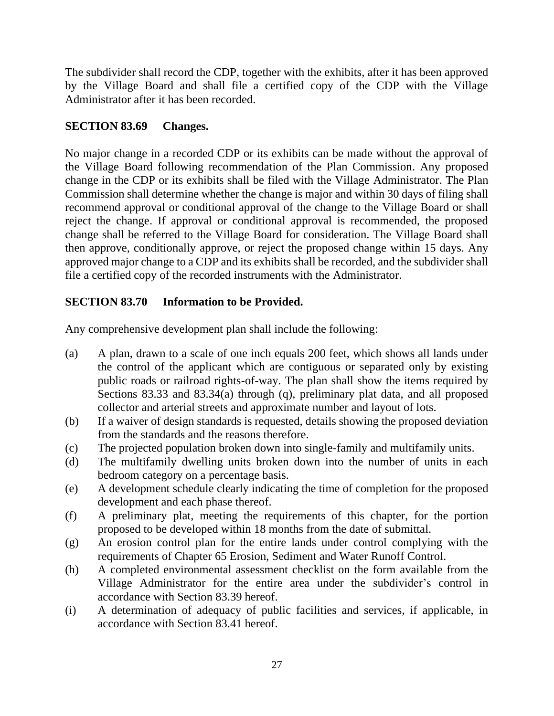The subdivider shall record the CDP, together with the exhibits, after it has been approved by the Village Board and shall file a certified copy of the CDP with the Village Administrator after it has been recorded.

### **SECTION 83.69 Changes.**

No major change in a recorded CDP or its exhibits can be made without the approval of the Village Board following recommendation of the Plan Commission. Any proposed change in the CDP or its exhibits shall be filed with the Village Administrator. The Plan Commission shall determine whether the change is major and within 30 days of filing shall recommend approval or conditional approval of the change to the Village Board or shall reject the change. If approval or conditional approval is recommended, the proposed change shall be referred to the Village Board for consideration. The Village Board shall then approve, conditionally approve, or reject the proposed change within 15 days. Any approved major change to a CDP and its exhibits shall be recorded, and the subdivider shall file a certified copy of the recorded instruments with the Administrator.

# **SECTION 83.70 Information to be Provided.**

Any comprehensive development plan shall include the following:

- (a) A plan, drawn to a scale of one inch equals 200 feet, which shows all lands under the control of the applicant which are contiguous or separated only by existing public roads or railroad rights-of-way. The plan shall show the items required by Sections 83.33 and 83.34(a) through (q), preliminary plat data, and all proposed collector and arterial streets and approximate number and layout of lots.
- (b) If a waiver of design standards is requested, details showing the proposed deviation from the standards and the reasons therefore.
- (c) The projected population broken down into single-family and multifamily units.
- (d) The multifamily dwelling units broken down into the number of units in each bedroom category on a percentage basis.
- (e) A development schedule clearly indicating the time of completion for the proposed development and each phase thereof.
- (f) A preliminary plat, meeting the requirements of this chapter, for the portion proposed to be developed within 18 months from the date of submittal.
- (g) An erosion control plan for the entire lands under control complying with the requirements of Chapter 65 Erosion, Sediment and Water Runoff Control.
- (h) A completed environmental assessment checklist on the form available from the Village Administrator for the entire area under the subdivider's control in accordance with Section 83.39 hereof.
- (i) A determination of adequacy of public facilities and services, if applicable, in accordance with Section 83.41 hereof.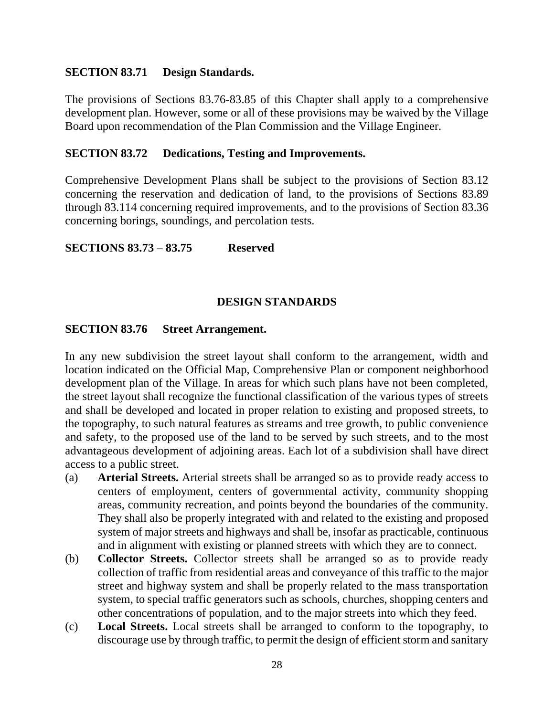#### **SECTION 83.71 Design Standards.**

The provisions of Sections 83.76-83.85 of this Chapter shall apply to a comprehensive development plan. However, some or all of these provisions may be waived by the Village Board upon recommendation of the Plan Commission and the Village Engineer.

#### **SECTION 83.72 Dedications, Testing and Improvements.**

Comprehensive Development Plans shall be subject to the provisions of Section 83.12 concerning the reservation and dedication of land, to the provisions of Sections 83.89 through 83.114 concerning required improvements, and to the provisions of Section 83.36 concerning borings, soundings, and percolation tests.

**SECTIONS 83.73 – 83.75 Reserved**

#### **DESIGN STANDARDS**

#### **SECTION 83.76 Street Arrangement.**

In any new subdivision the street layout shall conform to the arrangement, width and location indicated on the Official Map, Comprehensive Plan or component neighborhood development plan of the Village. In areas for which such plans have not been completed, the street layout shall recognize the functional classification of the various types of streets and shall be developed and located in proper relation to existing and proposed streets, to the topography, to such natural features as streams and tree growth, to public convenience and safety, to the proposed use of the land to be served by such streets, and to the most advantageous development of adjoining areas. Each lot of a subdivision shall have direct access to a public street.

- (a) **Arterial Streets.** Arterial streets shall be arranged so as to provide ready access to centers of employment, centers of governmental activity, community shopping areas, community recreation, and points beyond the boundaries of the community. They shall also be properly integrated with and related to the existing and proposed system of major streets and highways and shall be, insofar as practicable, continuous and in alignment with existing or planned streets with which they are to connect.
- (b) **Collector Streets.** Collector streets shall be arranged so as to provide ready collection of traffic from residential areas and conveyance of this traffic to the major street and highway system and shall be properly related to the mass transportation system, to special traffic generators such as schools, churches, shopping centers and other concentrations of population, and to the major streets into which they feed.
- (c) **Local Streets.** Local streets shall be arranged to conform to the topography, to discourage use by through traffic, to permit the design of efficient storm and sanitary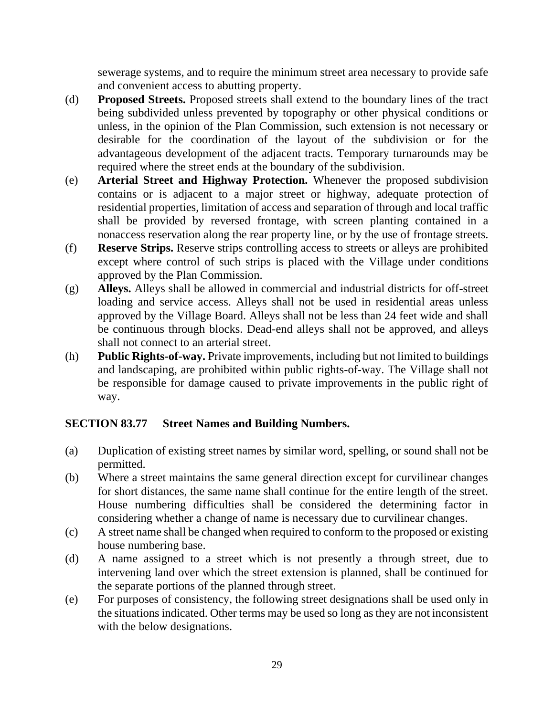sewerage systems, and to require the minimum street area necessary to provide safe and convenient access to abutting property.

- (d) **Proposed Streets.** Proposed streets shall extend to the boundary lines of the tract being subdivided unless prevented by topography or other physical conditions or unless, in the opinion of the Plan Commission, such extension is not necessary or desirable for the coordination of the layout of the subdivision or for the advantageous development of the adjacent tracts. Temporary turnarounds may be required where the street ends at the boundary of the subdivision.
- (e) **Arterial Street and Highway Protection.** Whenever the proposed subdivision contains or is adjacent to a major street or highway, adequate protection of residential properties, limitation of access and separation of through and local traffic shall be provided by reversed frontage, with screen planting contained in a nonaccess reservation along the rear property line, or by the use of frontage streets.
- (f) **Reserve Strips.** Reserve strips controlling access to streets or alleys are prohibited except where control of such strips is placed with the Village under conditions approved by the Plan Commission.
- (g) **Alleys.** Alleys shall be allowed in commercial and industrial districts for off-street loading and service access. Alleys shall not be used in residential areas unless approved by the Village Board. Alleys shall not be less than 24 feet wide and shall be continuous through blocks. Dead-end alleys shall not be approved, and alleys shall not connect to an arterial street.
- (h) **Public Rights-of-way.** Private improvements, including but not limited to buildings and landscaping, are prohibited within public rights-of-way. The Village shall not be responsible for damage caused to private improvements in the public right of way.

# **SECTION 83.77 Street Names and Building Numbers.**

- (a) Duplication of existing street names by similar word, spelling, or sound shall not be permitted.
- (b) Where a street maintains the same general direction except for curvilinear changes for short distances, the same name shall continue for the entire length of the street. House numbering difficulties shall be considered the determining factor in considering whether a change of name is necessary due to curvilinear changes.
- (c) A street name shall be changed when required to conform to the proposed or existing house numbering base.
- (d) A name assigned to a street which is not presently a through street, due to intervening land over which the street extension is planned, shall be continued for the separate portions of the planned through street.
- (e) For purposes of consistency, the following street designations shall be used only in the situations indicated. Other terms may be used so long as they are not inconsistent with the below designations.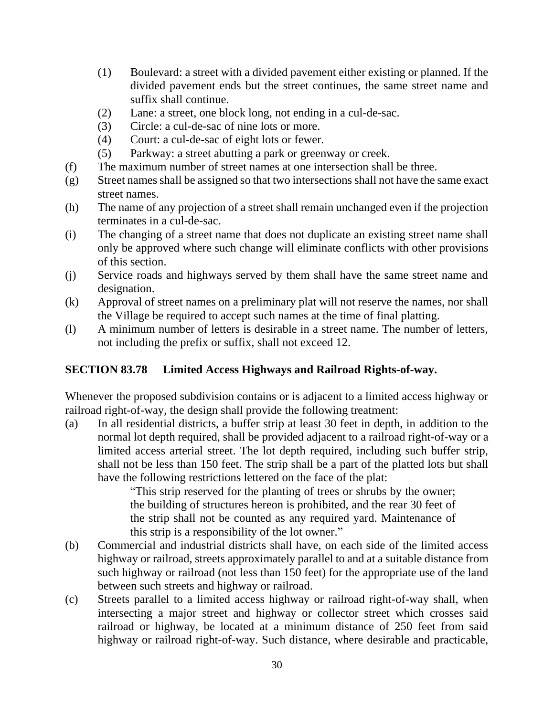- (1) Boulevard: a street with a divided pavement either existing or planned. If the divided pavement ends but the street continues, the same street name and suffix shall continue.
- (2) Lane: a street, one block long, not ending in a cul-de-sac.
- (3) Circle: a cul-de-sac of nine lots or more.
- (4) Court: a cul-de-sac of eight lots or fewer.
- (5) Parkway: a street abutting a park or greenway or creek.
- (f) The maximum number of street names at one intersection shall be three.
- (g) Street names shall be assigned so that two intersections shall not have the same exact street names.
- (h) The name of any projection of a street shall remain unchanged even if the projection terminates in a cul-de-sac.
- (i) The changing of a street name that does not duplicate an existing street name shall only be approved where such change will eliminate conflicts with other provisions of this section.
- (j) Service roads and highways served by them shall have the same street name and designation.
- (k) Approval of street names on a preliminary plat will not reserve the names, nor shall the Village be required to accept such names at the time of final platting.
- (l) A minimum number of letters is desirable in a street name. The number of letters, not including the prefix or suffix, shall not exceed 12.

# **SECTION 83.78 Limited Access Highways and Railroad Rights-of-way.**

Whenever the proposed subdivision contains or is adjacent to a limited access highway or railroad right-of-way, the design shall provide the following treatment:

(a) In all residential districts, a buffer strip at least 30 feet in depth, in addition to the normal lot depth required, shall be provided adjacent to a railroad right-of-way or a limited access arterial street. The lot depth required, including such buffer strip, shall not be less than 150 feet. The strip shall be a part of the platted lots but shall have the following restrictions lettered on the face of the plat:

"This strip reserved for the planting of trees or shrubs by the owner; the building of structures hereon is prohibited, and the rear 30 feet of the strip shall not be counted as any required yard. Maintenance of this strip is a responsibility of the lot owner."

- (b) Commercial and industrial districts shall have, on each side of the limited access highway or railroad, streets approximately parallel to and at a suitable distance from such highway or railroad (not less than 150 feet) for the appropriate use of the land between such streets and highway or railroad.
- (c) Streets parallel to a limited access highway or railroad right-of-way shall, when intersecting a major street and highway or collector street which crosses said railroad or highway, be located at a minimum distance of 250 feet from said highway or railroad right-of-way. Such distance, where desirable and practicable,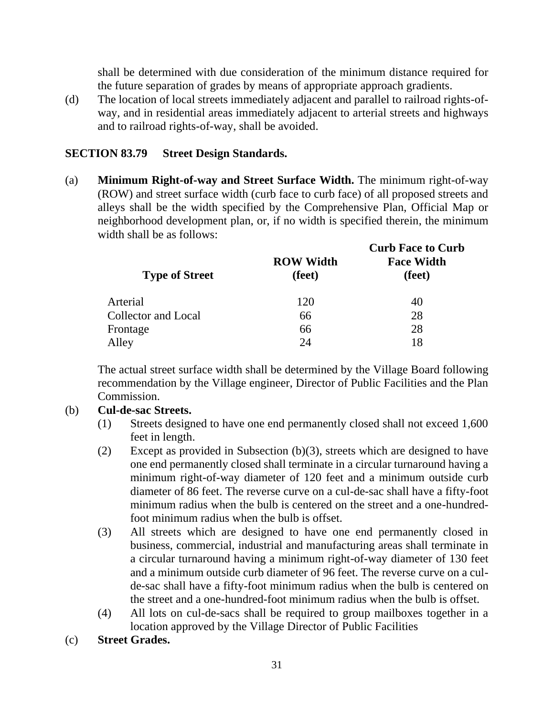shall be determined with due consideration of the minimum distance required for the future separation of grades by means of appropriate approach gradients.

(d) The location of local streets immediately adjacent and parallel to railroad rights-ofway, and in residential areas immediately adjacent to arterial streets and highways and to railroad rights-of-way, shall be avoided.

### **SECTION 83.79 Street Design Standards.**

(a) **Minimum Right-of-way and Street Surface Width.** The minimum right-of-way (ROW) and street surface width (curb face to curb face) of all proposed streets and alleys shall be the width specified by the Comprehensive Plan, Official Map or neighborhood development plan, or, if no width is specified therein, the minimum width shall be as follows:

| <b>Type of Street</b>      | <b>ROW Width</b><br>(feet) | <b>Curb Face to Curb</b><br><b>Face Width</b><br>(feet) |
|----------------------------|----------------------------|---------------------------------------------------------|
| Arterial                   | 120                        | 40                                                      |
| <b>Collector and Local</b> | 66                         | 28                                                      |
| Frontage                   | 66                         | 28                                                      |
| Alley                      | 24                         | 18                                                      |

The actual street surface width shall be determined by the Village Board following recommendation by the Village engineer, Director of Public Facilities and the Plan Commission.

#### (b) **Cul-de-sac Streets.**

- (1) Streets designed to have one end permanently closed shall not exceed 1,600 feet in length.
- (2) Except as provided in Subsection (b)(3), streets which are designed to have one end permanently closed shall terminate in a circular turnaround having a minimum right-of-way diameter of 120 feet and a minimum outside curb diameter of 86 feet. The reverse curve on a cul-de-sac shall have a fifty-foot minimum radius when the bulb is centered on the street and a one-hundredfoot minimum radius when the bulb is offset.
- (3) All streets which are designed to have one end permanently closed in business, commercial, industrial and manufacturing areas shall terminate in a circular turnaround having a minimum right-of-way diameter of 130 feet and a minimum outside curb diameter of 96 feet. The reverse curve on a culde-sac shall have a fifty-foot minimum radius when the bulb is centered on the street and a one-hundred-foot minimum radius when the bulb is offset.
- (4) All lots on cul-de-sacs shall be required to group mailboxes together in a location approved by the Village Director of Public Facilities
- (c) **Street Grades.**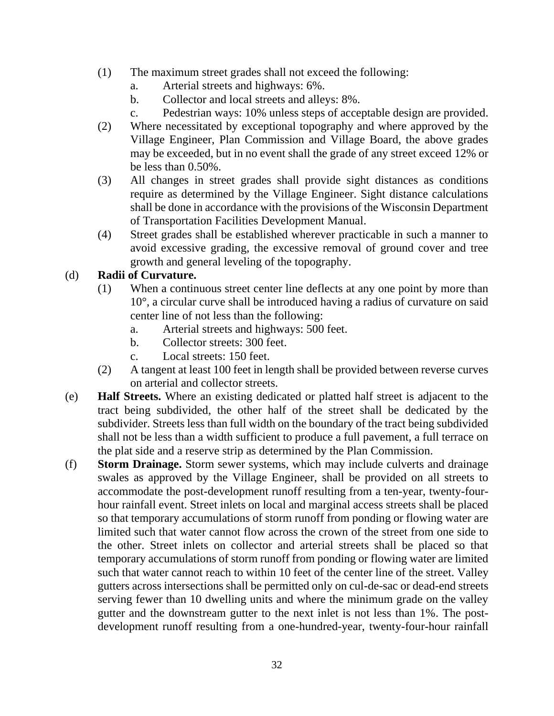- (1) The maximum street grades shall not exceed the following:
	- a. Arterial streets and highways: 6%.
	- b. Collector and local streets and alleys: 8%.
	- c. Pedestrian ways: 10% unless steps of acceptable design are provided.
- (2) Where necessitated by exceptional topography and where approved by the Village Engineer, Plan Commission and Village Board, the above grades may be exceeded, but in no event shall the grade of any street exceed 12% or be less than 0.50%.
- (3) All changes in street grades shall provide sight distances as conditions require as determined by the Village Engineer. Sight distance calculations shall be done in accordance with the provisions of the Wisconsin Department of Transportation Facilities Development Manual.
- (4) Street grades shall be established wherever practicable in such a manner to avoid excessive grading, the excessive removal of ground cover and tree growth and general leveling of the topography.

### (d) **Radii of Curvature.**

- (1) When a continuous street center line deflects at any one point by more than 10°, a circular curve shall be introduced having a radius of curvature on said center line of not less than the following:
	- a. Arterial streets and highways: 500 feet.
	- b. Collector streets: 300 feet.
	- c. Local streets: 150 feet.
- (2) A tangent at least 100 feet in length shall be provided between reverse curves on arterial and collector streets.
- (e) **Half Streets.** Where an existing dedicated or platted half street is adjacent to the tract being subdivided, the other half of the street shall be dedicated by the subdivider. Streets less than full width on the boundary of the tract being subdivided shall not be less than a width sufficient to produce a full pavement, a full terrace on the plat side and a reserve strip as determined by the Plan Commission.
- (f) **Storm Drainage.** Storm sewer systems, which may include culverts and drainage swales as approved by the Village Engineer, shall be provided on all streets to accommodate the post-development runoff resulting from a ten-year, twenty-fourhour rainfall event. Street inlets on local and marginal access streets shall be placed so that temporary accumulations of storm runoff from ponding or flowing water are limited such that water cannot flow across the crown of the street from one side to the other. Street inlets on collector and arterial streets shall be placed so that temporary accumulations of storm runoff from ponding or flowing water are limited such that water cannot reach to within 10 feet of the center line of the street. Valley gutters across intersections shall be permitted only on cul-de-sac or dead-end streets serving fewer than 10 dwelling units and where the minimum grade on the valley gutter and the downstream gutter to the next inlet is not less than 1%. The postdevelopment runoff resulting from a one-hundred-year, twenty-four-hour rainfall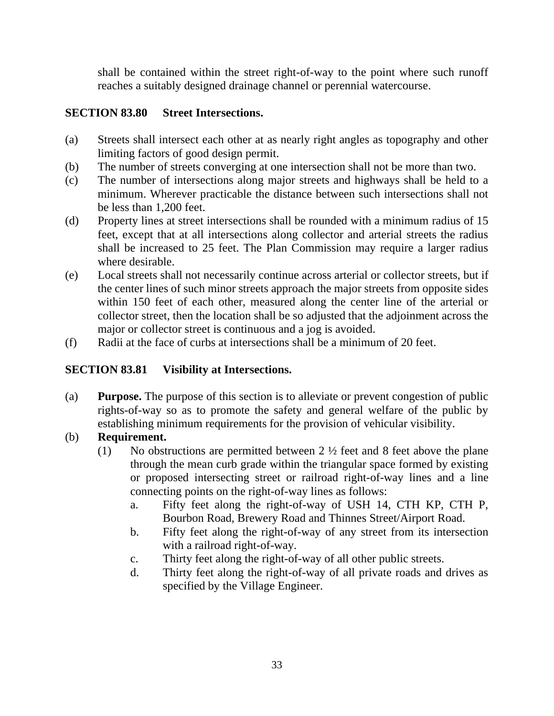shall be contained within the street right-of-way to the point where such runoff reaches a suitably designed drainage channel or perennial watercourse.

# **SECTION 83.80 Street Intersections.**

- (a) Streets shall intersect each other at as nearly right angles as topography and other limiting factors of good design permit.
- (b) The number of streets converging at one intersection shall not be more than two.
- (c) The number of intersections along major streets and highways shall be held to a minimum. Wherever practicable the distance between such intersections shall not be less than 1,200 feet.
- (d) Property lines at street intersections shall be rounded with a minimum radius of 15 feet, except that at all intersections along collector and arterial streets the radius shall be increased to 25 feet. The Plan Commission may require a larger radius where desirable.
- (e) Local streets shall not necessarily continue across arterial or collector streets, but if the center lines of such minor streets approach the major streets from opposite sides within 150 feet of each other, measured along the center line of the arterial or collector street, then the location shall be so adjusted that the adjoinment across the major or collector street is continuous and a jog is avoided.
- (f) Radii at the face of curbs at intersections shall be a minimum of 20 feet.

# **SECTION 83.81 Visibility at Intersections.**

(a) **Purpose.** The purpose of this section is to alleviate or prevent congestion of public rights-of-way so as to promote the safety and general welfare of the public by establishing minimum requirements for the provision of vehicular visibility.

# (b) **Requirement.**

- (1) No obstructions are permitted between  $2 \frac{1}{2}$  feet and 8 feet above the plane through the mean curb grade within the triangular space formed by existing or proposed intersecting street or railroad right-of-way lines and a line connecting points on the right-of-way lines as follows:
	- a. Fifty feet along the right-of-way of USH 14, CTH KP, CTH P, Bourbon Road, Brewery Road and Thinnes Street/Airport Road.
	- b. Fifty feet along the right-of-way of any street from its intersection with a railroad right-of-way.
	- c. Thirty feet along the right-of-way of all other public streets.
	- d. Thirty feet along the right-of-way of all private roads and drives as specified by the Village Engineer.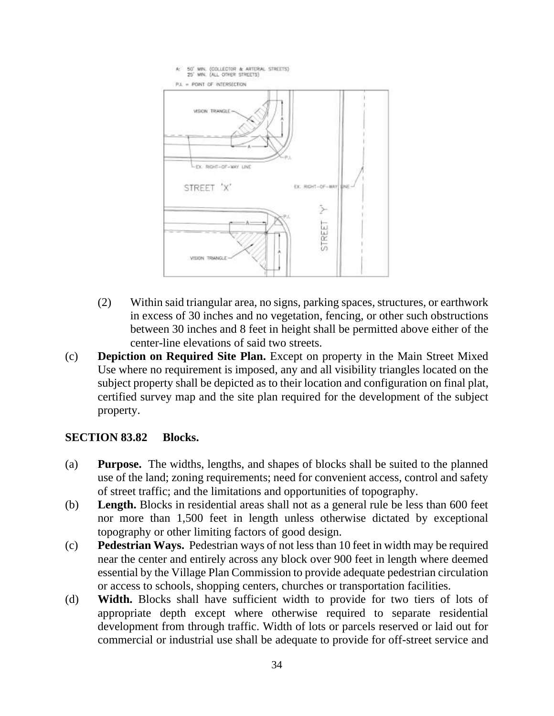

- (2) Within said triangular area, no signs, parking spaces, structures, or earthwork in excess of 30 inches and no vegetation, fencing, or other such obstructions between 30 inches and 8 feet in height shall be permitted above either of the center-line elevations of said two streets.
- (c) **Depiction on Required Site Plan.** Except on property in the Main Street Mixed Use where no requirement is imposed, any and all visibility triangles located on the subject property shall be depicted as to their location and configuration on final plat, certified survey map and the site plan required for the development of the subject property.

### **SECTION 83.82 Blocks.**

- (a) **Purpose.** The widths, lengths, and shapes of blocks shall be suited to the planned use of the land; zoning requirements; need for convenient access, control and safety of street traffic; and the limitations and opportunities of topography.
- (b) **Length.** Blocks in residential areas shall not as a general rule be less than 600 feet nor more than 1,500 feet in length unless otherwise dictated by exceptional topography or other limiting factors of good design.
- (c) **Pedestrian Ways.** Pedestrian ways of not less than 10 feet in width may be required near the center and entirely across any block over 900 feet in length where deemed essential by the Village Plan Commission to provide adequate pedestrian circulation or access to schools, shopping centers, churches or transportation facilities.
- (d) **Width.** Blocks shall have sufficient width to provide for two tiers of lots of appropriate depth except where otherwise required to separate residential development from through traffic. Width of lots or parcels reserved or laid out for commercial or industrial use shall be adequate to provide for off-street service and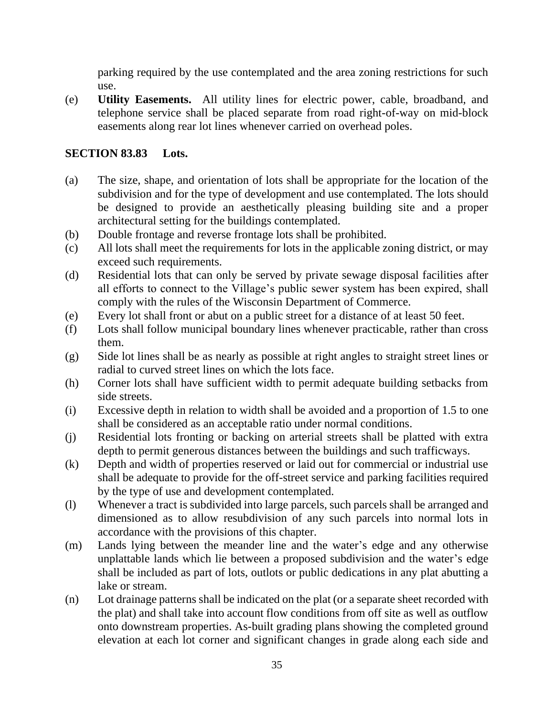parking required by the use contemplated and the area zoning restrictions for such use.

(e) **Utility Easements.** All utility lines for electric power, cable, broadband, and telephone service shall be placed separate from road right-of-way on mid-block easements along rear lot lines whenever carried on overhead poles.

# **SECTION 83.83 Lots.**

- (a) The size, shape, and orientation of lots shall be appropriate for the location of the subdivision and for the type of development and use contemplated. The lots should be designed to provide an aesthetically pleasing building site and a proper architectural setting for the buildings contemplated.
- (b) Double frontage and reverse frontage lots shall be prohibited.
- (c) All lots shall meet the requirements for lots in the applicable zoning district, or may exceed such requirements.
- (d) Residential lots that can only be served by private sewage disposal facilities after all efforts to connect to the Village's public sewer system has been expired, shall comply with the rules of the Wisconsin Department of Commerce.
- (e) Every lot shall front or abut on a public street for a distance of at least 50 feet.
- (f) Lots shall follow municipal boundary lines whenever practicable, rather than cross them.
- (g) Side lot lines shall be as nearly as possible at right angles to straight street lines or radial to curved street lines on which the lots face.
- (h) Corner lots shall have sufficient width to permit adequate building setbacks from side streets.
- (i) Excessive depth in relation to width shall be avoided and a proportion of 1.5 to one shall be considered as an acceptable ratio under normal conditions.
- (j) Residential lots fronting or backing on arterial streets shall be platted with extra depth to permit generous distances between the buildings and such trafficways.
- (k) Depth and width of properties reserved or laid out for commercial or industrial use shall be adequate to provide for the off-street service and parking facilities required by the type of use and development contemplated.
- (l) Whenever a tract is subdivided into large parcels, such parcels shall be arranged and dimensioned as to allow resubdivision of any such parcels into normal lots in accordance with the provisions of this chapter.
- (m) Lands lying between the meander line and the water's edge and any otherwise unplattable lands which lie between a proposed subdivision and the water's edge shall be included as part of lots, outlots or public dedications in any plat abutting a lake or stream.
- (n) Lot drainage patterns shall be indicated on the plat (or a separate sheet recorded with the plat) and shall take into account flow conditions from off site as well as outflow onto downstream properties. As-built grading plans showing the completed ground elevation at each lot corner and significant changes in grade along each side and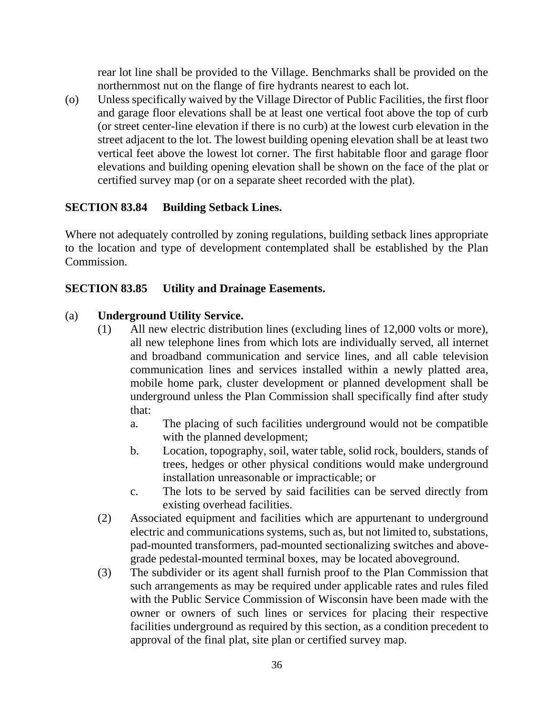rear lot line shall be provided to the Village. Benchmarks shall be provided on the northernmost nut on the flange of fire hydrants nearest to each lot.

(o) Unless specifically waived by the Village Director of Public Facilities, the first floor and garage floor elevations shall be at least one vertical foot above the top of curb (or street center-line elevation if there is no curb) at the lowest curb elevation in the street adjacent to the lot. The lowest building opening elevation shall be at least two vertical feet above the lowest lot corner. The first habitable floor and garage floor elevations and building opening elevation shall be shown on the face of the plat or certified survey map (or on a separate sheet recorded with the plat).

### **SECTION 83.84 Building Setback Lines.**

Where not adequately controlled by zoning regulations, building setback lines appropriate to the location and type of development contemplated shall be established by the Plan Commission.

### **SECTION 83.85 Utility and Drainage Easements.**

### (a) **Underground Utility Service.**

- (1) All new electric distribution lines (excluding lines of 12,000 volts or more), all new telephone lines from which lots are individually served, all internet and broadband communication and service lines, and all cable television communication lines and services installed within a newly platted area, mobile home park, cluster development or planned development shall be underground unless the Plan Commission shall specifically find after study that:
	- a. The placing of such facilities underground would not be compatible with the planned development;
	- b. Location, topography, soil, water table, solid rock, boulders, stands of trees, hedges or other physical conditions would make underground installation unreasonable or impracticable; or
	- c. The lots to be served by said facilities can be served directly from existing overhead facilities.
- (2) Associated equipment and facilities which are appurtenant to underground electric and communications systems, such as, but not limited to, substations, pad-mounted transformers, pad-mounted sectionalizing switches and abovegrade pedestal-mounted terminal boxes, may be located aboveground.
- (3) The subdivider or its agent shall furnish proof to the Plan Commission that such arrangements as may be required under applicable rates and rules filed with the Public Service Commission of Wisconsin have been made with the owner or owners of such lines or services for placing their respective facilities underground as required by this section, as a condition precedent to approval of the final plat, site plan or certified survey map.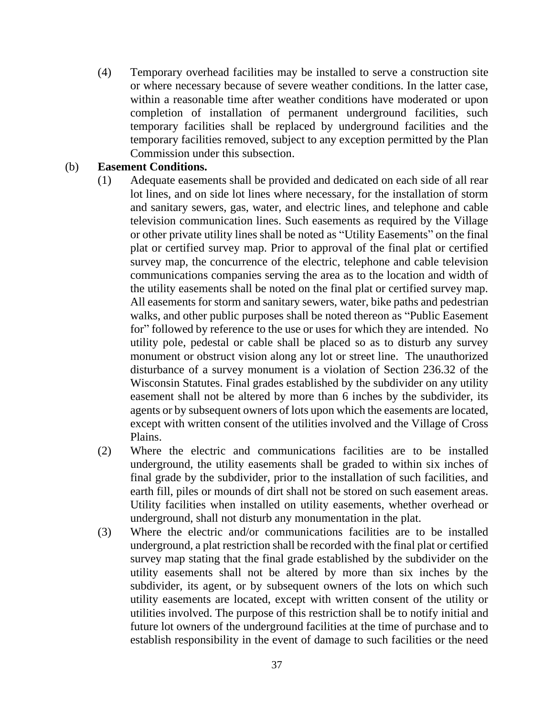(4) Temporary overhead facilities may be installed to serve a construction site or where necessary because of severe weather conditions. In the latter case, within a reasonable time after weather conditions have moderated or upon completion of installation of permanent underground facilities, such temporary facilities shall be replaced by underground facilities and the temporary facilities removed, subject to any exception permitted by the Plan Commission under this subsection.

#### (b) **Easement Conditions.**

- (1) Adequate easements shall be provided and dedicated on each side of all rear lot lines, and on side lot lines where necessary, for the installation of storm and sanitary sewers, gas, water, and electric lines, and telephone and cable television communication lines. Such easements as required by the Village or other private utility lines shall be noted as "Utility Easements" on the final plat or certified survey map. Prior to approval of the final plat or certified survey map, the concurrence of the electric, telephone and cable television communications companies serving the area as to the location and width of the utility easements shall be noted on the final plat or certified survey map. All easements for storm and sanitary sewers, water, bike paths and pedestrian walks, and other public purposes shall be noted thereon as "Public Easement for" followed by reference to the use or uses for which they are intended. No utility pole, pedestal or cable shall be placed so as to disturb any survey monument or obstruct vision along any lot or street line. The unauthorized disturbance of a survey monument is a violation of Section 236.32 of the Wisconsin Statutes. Final grades established by the subdivider on any utility easement shall not be altered by more than 6 inches by the subdivider, its agents or by subsequent owners of lots upon which the easements are located, except with written consent of the utilities involved and the Village of Cross Plains.
- (2) Where the electric and communications facilities are to be installed underground, the utility easements shall be graded to within six inches of final grade by the subdivider, prior to the installation of such facilities, and earth fill, piles or mounds of dirt shall not be stored on such easement areas. Utility facilities when installed on utility easements, whether overhead or underground, shall not disturb any monumentation in the plat.
- (3) Where the electric and/or communications facilities are to be installed underground, a plat restriction shall be recorded with the final plat or certified survey map stating that the final grade established by the subdivider on the utility easements shall not be altered by more than six inches by the subdivider, its agent, or by subsequent owners of the lots on which such utility easements are located, except with written consent of the utility or utilities involved. The purpose of this restriction shall be to notify initial and future lot owners of the underground facilities at the time of purchase and to establish responsibility in the event of damage to such facilities or the need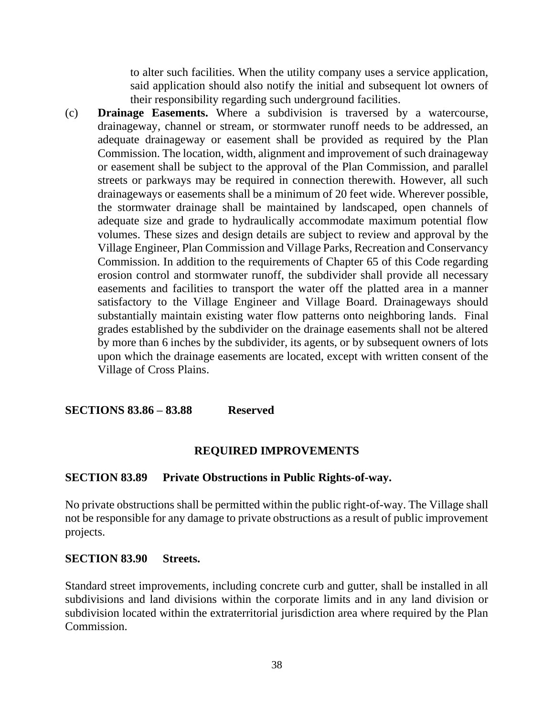to alter such facilities. When the utility company uses a service application, said application should also notify the initial and subsequent lot owners of their responsibility regarding such underground facilities.

(c) **Drainage Easements.** Where a subdivision is traversed by a watercourse, drainageway, channel or stream, or stormwater runoff needs to be addressed, an adequate drainageway or easement shall be provided as required by the Plan Commission. The location, width, alignment and improvement of such drainageway or easement shall be subject to the approval of the Plan Commission, and parallel streets or parkways may be required in connection therewith. However, all such drainageways or easements shall be a minimum of 20 feet wide. Wherever possible, the stormwater drainage shall be maintained by landscaped, open channels of adequate size and grade to hydraulically accommodate maximum potential flow volumes. These sizes and design details are subject to review and approval by the Village Engineer, Plan Commission and Village Parks, Recreation and Conservancy Commission. In addition to the requirements of Chapter 65 of this Code regarding erosion control and stormwater runoff, the subdivider shall provide all necessary easements and facilities to transport the water off the platted area in a manner satisfactory to the Village Engineer and Village Board. Drainageways should substantially maintain existing water flow patterns onto neighboring lands. Final grades established by the subdivider on the drainage easements shall not be altered by more than 6 inches by the subdivider, its agents, or by subsequent owners of lots upon which the drainage easements are located, except with written consent of the Village of Cross Plains.

**SECTIONS 83.86 – 83.88 Reserved**

### **REQUIRED IMPROVEMENTS**

#### **SECTION 83.89 Private Obstructions in Public Rights-of-way.**

No private obstructions shall be permitted within the public right-of-way. The Village shall not be responsible for any damage to private obstructions as a result of public improvement projects.

#### **SECTION 83.90 Streets.**

Standard street improvements, including concrete curb and gutter, shall be installed in all subdivisions and land divisions within the corporate limits and in any land division or subdivision located within the extraterritorial jurisdiction area where required by the Plan Commission.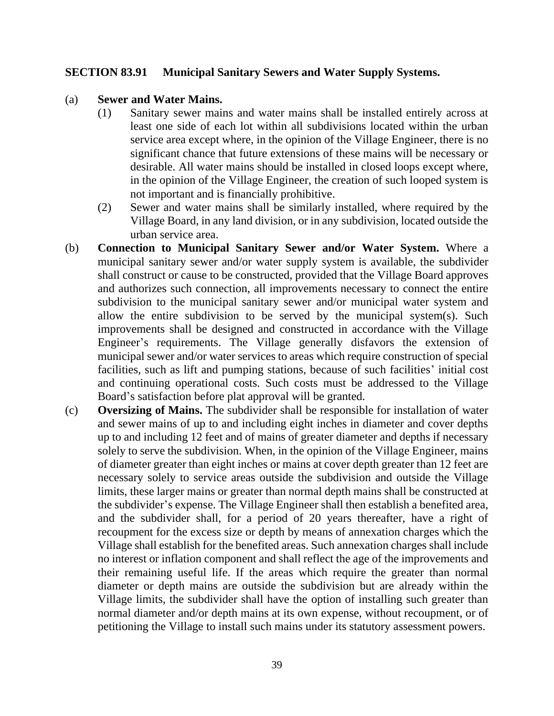#### **SECTION 83.91 Municipal Sanitary Sewers and Water Supply Systems.**

#### (a) **Sewer and Water Mains.**

- (1) Sanitary sewer mains and water mains shall be installed entirely across at least one side of each lot within all subdivisions located within the urban service area except where, in the opinion of the Village Engineer, there is no significant chance that future extensions of these mains will be necessary or desirable. All water mains should be installed in closed loops except where, in the opinion of the Village Engineer, the creation of such looped system is not important and is financially prohibitive.
- (2) Sewer and water mains shall be similarly installed, where required by the Village Board, in any land division, or in any subdivision, located outside the urban service area.
- (b) **Connection to Municipal Sanitary Sewer and/or Water System.** Where a municipal sanitary sewer and/or water supply system is available, the subdivider shall construct or cause to be constructed, provided that the Village Board approves and authorizes such connection, all improvements necessary to connect the entire subdivision to the municipal sanitary sewer and/or municipal water system and allow the entire subdivision to be served by the municipal system(s). Such improvements shall be designed and constructed in accordance with the Village Engineer's requirements. The Village generally disfavors the extension of municipal sewer and/or water services to areas which require construction of special facilities, such as lift and pumping stations, because of such facilities' initial cost and continuing operational costs. Such costs must be addressed to the Village Board's satisfaction before plat approval will be granted.
- (c) **Oversizing of Mains.** The subdivider shall be responsible for installation of water and sewer mains of up to and including eight inches in diameter and cover depths up to and including 12 feet and of mains of greater diameter and depths if necessary solely to serve the subdivision. When, in the opinion of the Village Engineer, mains of diameter greater than eight inches or mains at cover depth greater than 12 feet are necessary solely to service areas outside the subdivision and outside the Village limits, these larger mains or greater than normal depth mains shall be constructed at the subdivider's expense. The Village Engineer shall then establish a benefited area, and the subdivider shall, for a period of 20 years thereafter, have a right of recoupment for the excess size or depth by means of annexation charges which the Village shall establish for the benefited areas. Such annexation charges shall include no interest or inflation component and shall reflect the age of the improvements and their remaining useful life. If the areas which require the greater than normal diameter or depth mains are outside the subdivision but are already within the Village limits, the subdivider shall have the option of installing such greater than normal diameter and/or depth mains at its own expense, without recoupment, or of petitioning the Village to install such mains under its statutory assessment powers.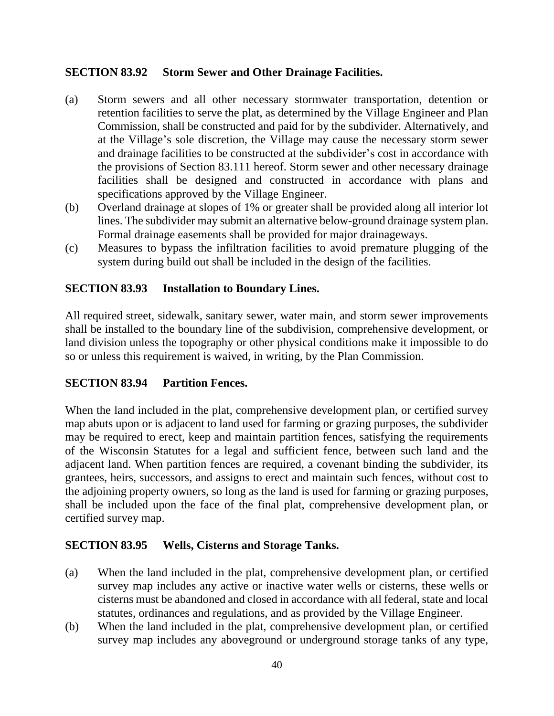### **SECTION 83.92 Storm Sewer and Other Drainage Facilities.**

- (a) Storm sewers and all other necessary stormwater transportation, detention or retention facilities to serve the plat, as determined by the Village Engineer and Plan Commission, shall be constructed and paid for by the subdivider. Alternatively, and at the Village's sole discretion, the Village may cause the necessary storm sewer and drainage facilities to be constructed at the subdivider's cost in accordance with the provisions of Section 83.111 hereof. Storm sewer and other necessary drainage facilities shall be designed and constructed in accordance with plans and specifications approved by the Village Engineer.
- (b) Overland drainage at slopes of 1% or greater shall be provided along all interior lot lines. The subdivider may submit an alternative below-ground drainage system plan. Formal drainage easements shall be provided for major drainageways.
- (c) Measures to bypass the infiltration facilities to avoid premature plugging of the system during build out shall be included in the design of the facilities.

### **SECTION 83.93 Installation to Boundary Lines.**

All required street, sidewalk, sanitary sewer, water main, and storm sewer improvements shall be installed to the boundary line of the subdivision, comprehensive development, or land division unless the topography or other physical conditions make it impossible to do so or unless this requirement is waived, in writing, by the Plan Commission.

### **SECTION 83.94 Partition Fences.**

When the land included in the plat, comprehensive development plan, or certified survey map abuts upon or is adjacent to land used for farming or grazing purposes, the subdivider may be required to erect, keep and maintain partition fences, satisfying the requirements of the Wisconsin Statutes for a legal and sufficient fence, between such land and the adjacent land. When partition fences are required, a covenant binding the subdivider, its grantees, heirs, successors, and assigns to erect and maintain such fences, without cost to the adjoining property owners, so long as the land is used for farming or grazing purposes, shall be included upon the face of the final plat, comprehensive development plan, or certified survey map.

#### **SECTION 83.95 Wells, Cisterns and Storage Tanks.**

- (a) When the land included in the plat, comprehensive development plan, or certified survey map includes any active or inactive water wells or cisterns, these wells or cisterns must be abandoned and closed in accordance with all federal, state and local statutes, ordinances and regulations, and as provided by the Village Engineer.
- (b) When the land included in the plat, comprehensive development plan, or certified survey map includes any aboveground or underground storage tanks of any type,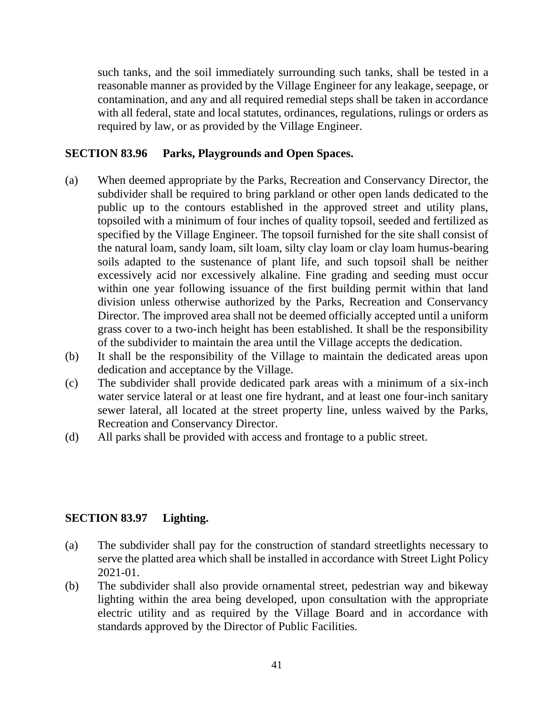such tanks, and the soil immediately surrounding such tanks, shall be tested in a reasonable manner as provided by the Village Engineer for any leakage, seepage, or contamination, and any and all required remedial steps shall be taken in accordance with all federal, state and local statutes, ordinances, regulations, rulings or orders as required by law, or as provided by the Village Engineer.

#### **SECTION 83.96 Parks, Playgrounds and Open Spaces.**

- (a) When deemed appropriate by the Parks, Recreation and Conservancy Director, the subdivider shall be required to bring parkland or other open lands dedicated to the public up to the contours established in the approved street and utility plans, topsoiled with a minimum of four inches of quality topsoil, seeded and fertilized as specified by the Village Engineer. The topsoil furnished for the site shall consist of the natural loam, sandy loam, silt loam, silty clay loam or clay loam humus-bearing soils adapted to the sustenance of plant life, and such topsoil shall be neither excessively acid nor excessively alkaline. Fine grading and seeding must occur within one year following issuance of the first building permit within that land division unless otherwise authorized by the Parks, Recreation and Conservancy Director. The improved area shall not be deemed officially accepted until a uniform grass cover to a two-inch height has been established. It shall be the responsibility of the subdivider to maintain the area until the Village accepts the dedication.
- (b) It shall be the responsibility of the Village to maintain the dedicated areas upon dedication and acceptance by the Village.
- (c) The subdivider shall provide dedicated park areas with a minimum of a six-inch water service lateral or at least one fire hydrant, and at least one four-inch sanitary sewer lateral, all located at the street property line, unless waived by the Parks, Recreation and Conservancy Director.
- (d) All parks shall be provided with access and frontage to a public street.

#### **SECTION 83.97 Lighting.**

- (a) The subdivider shall pay for the construction of standard streetlights necessary to serve the platted area which shall be installed in accordance with Street Light Policy 2021-01.
- (b) The subdivider shall also provide ornamental street, pedestrian way and bikeway lighting within the area being developed, upon consultation with the appropriate electric utility and as required by the Village Board and in accordance with standards approved by the Director of Public Facilities.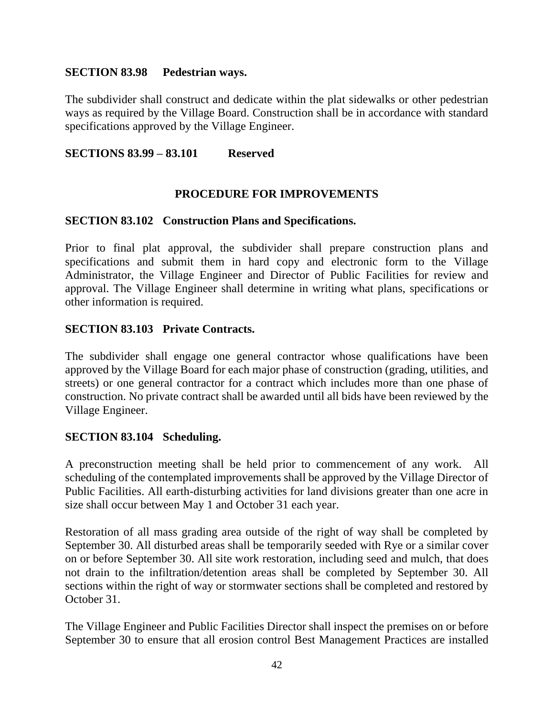#### **SECTION 83.98 Pedestrian ways.**

The subdivider shall construct and dedicate within the plat sidewalks or other pedestrian ways as required by the Village Board. Construction shall be in accordance with standard specifications approved by the Village Engineer.

### **SECTIONS 83.99 – 83.101 Reserved**

### **PROCEDURE FOR IMPROVEMENTS**

#### **SECTION 83.102 Construction Plans and Specifications.**

Prior to final plat approval, the subdivider shall prepare construction plans and specifications and submit them in hard copy and electronic form to the Village Administrator, the Village Engineer and Director of Public Facilities for review and approval. The Village Engineer shall determine in writing what plans, specifications or other information is required.

### **SECTION 83.103 Private Contracts.**

The subdivider shall engage one general contractor whose qualifications have been approved by the Village Board for each major phase of construction (grading, utilities, and streets) or one general contractor for a contract which includes more than one phase of construction. No private contract shall be awarded until all bids have been reviewed by the Village Engineer.

#### **SECTION 83.104 Scheduling.**

A preconstruction meeting shall be held prior to commencement of any work. All scheduling of the contemplated improvements shall be approved by the Village Director of Public Facilities. All earth-disturbing activities for land divisions greater than one acre in size shall occur between May 1 and October 31 each year.

Restoration of all mass grading area outside of the right of way shall be completed by September 30. All disturbed areas shall be temporarily seeded with Rye or a similar cover on or before September 30. All site work restoration, including seed and mulch, that does not drain to the infiltration/detention areas shall be completed by September 30. All sections within the right of way or stormwater sections shall be completed and restored by October 31.

The Village Engineer and Public Facilities Director shall inspect the premises on or before September 30 to ensure that all erosion control Best Management Practices are installed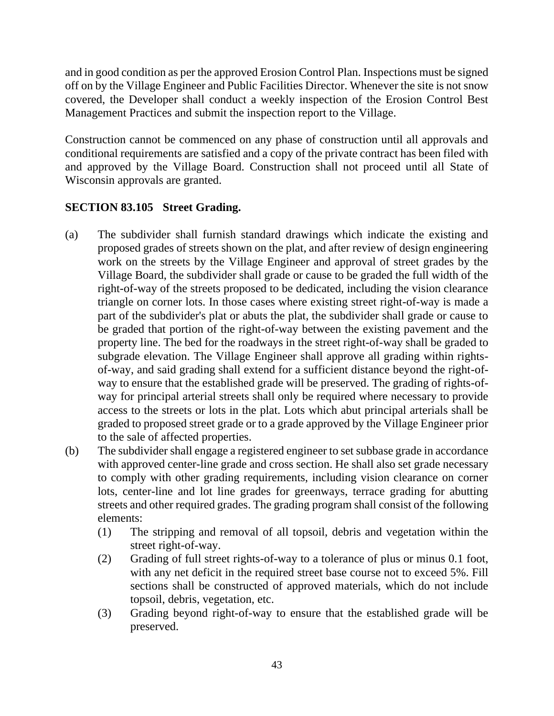and in good condition as per the approved Erosion Control Plan. Inspections must be signed off on by the Village Engineer and Public Facilities Director. Whenever the site is not snow covered, the Developer shall conduct a weekly inspection of the Erosion Control Best Management Practices and submit the inspection report to the Village.

Construction cannot be commenced on any phase of construction until all approvals and conditional requirements are satisfied and a copy of the private contract has been filed with and approved by the Village Board. Construction shall not proceed until all State of Wisconsin approvals are granted.

# **SECTION 83.105 Street Grading.**

- (a) The subdivider shall furnish standard drawings which indicate the existing and proposed grades of streets shown on the plat, and after review of design engineering work on the streets by the Village Engineer and approval of street grades by the Village Board, the subdivider shall grade or cause to be graded the full width of the right-of-way of the streets proposed to be dedicated, including the vision clearance triangle on corner lots. In those cases where existing street right-of-way is made a part of the subdivider's plat or abuts the plat, the subdivider shall grade or cause to be graded that portion of the right-of-way between the existing pavement and the property line. The bed for the roadways in the street right-of-way shall be graded to subgrade elevation. The Village Engineer shall approve all grading within rightsof-way, and said grading shall extend for a sufficient distance beyond the right-ofway to ensure that the established grade will be preserved. The grading of rights-ofway for principal arterial streets shall only be required where necessary to provide access to the streets or lots in the plat. Lots which abut principal arterials shall be graded to proposed street grade or to a grade approved by the Village Engineer prior to the sale of affected properties.
- (b) The subdivider shall engage a registered engineer to set subbase grade in accordance with approved center-line grade and cross section. He shall also set grade necessary to comply with other grading requirements, including vision clearance on corner lots, center-line and lot line grades for greenways, terrace grading for abutting streets and other required grades. The grading program shall consist of the following elements:
	- (1) The stripping and removal of all topsoil, debris and vegetation within the street right-of-way.
	- (2) Grading of full street rights-of-way to a tolerance of plus or minus 0.1 foot, with any net deficit in the required street base course not to exceed 5%. Fill sections shall be constructed of approved materials, which do not include topsoil, debris, vegetation, etc.
	- (3) Grading beyond right-of-way to ensure that the established grade will be preserved.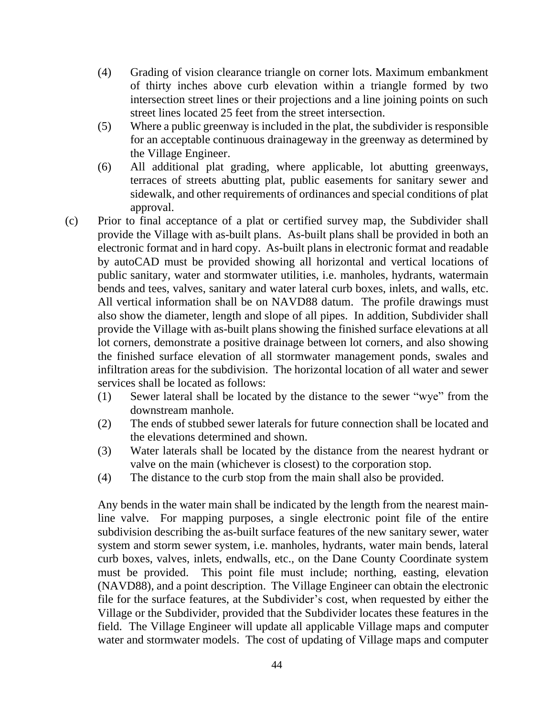- (4) Grading of vision clearance triangle on corner lots. Maximum embankment of thirty inches above curb elevation within a triangle formed by two intersection street lines or their projections and a line joining points on such street lines located 25 feet from the street intersection.
- (5) Where a public greenway is included in the plat, the subdivider is responsible for an acceptable continuous drainageway in the greenway as determined by the Village Engineer.
- (6) All additional plat grading, where applicable, lot abutting greenways, terraces of streets abutting plat, public easements for sanitary sewer and sidewalk, and other requirements of ordinances and special conditions of plat approval.
- (c) Prior to final acceptance of a plat or certified survey map, the Subdivider shall provide the Village with as-built plans. As-built plans shall be provided in both an electronic format and in hard copy. As-built plans in electronic format and readable by autoCAD must be provided showing all horizontal and vertical locations of public sanitary, water and stormwater utilities, i.e. manholes, hydrants, watermain bends and tees, valves, sanitary and water lateral curb boxes, inlets, and walls, etc. All vertical information shall be on NAVD88 datum. The profile drawings must also show the diameter, length and slope of all pipes. In addition, Subdivider shall provide the Village with as-built plans showing the finished surface elevations at all lot corners, demonstrate a positive drainage between lot corners, and also showing the finished surface elevation of all stormwater management ponds, swales and infiltration areas for the subdivision. The horizontal location of all water and sewer services shall be located as follows:
	- (1) Sewer lateral shall be located by the distance to the sewer "wye" from the downstream manhole.
	- (2) The ends of stubbed sewer laterals for future connection shall be located and the elevations determined and shown.
	- (3) Water laterals shall be located by the distance from the nearest hydrant or valve on the main (whichever is closest) to the corporation stop.
	- (4) The distance to the curb stop from the main shall also be provided.

Any bends in the water main shall be indicated by the length from the nearest mainline valve. For mapping purposes, a single electronic point file of the entire subdivision describing the as-built surface features of the new sanitary sewer, water system and storm sewer system, i.e. manholes, hydrants, water main bends, lateral curb boxes, valves, inlets, endwalls, etc., on the Dane County Coordinate system must be provided. This point file must include; northing, easting, elevation (NAVD88), and a point description. The Village Engineer can obtain the electronic file for the surface features, at the Subdivider's cost, when requested by either the Village or the Subdivider, provided that the Subdivider locates these features in the field. The Village Engineer will update all applicable Village maps and computer water and stormwater models. The cost of updating of Village maps and computer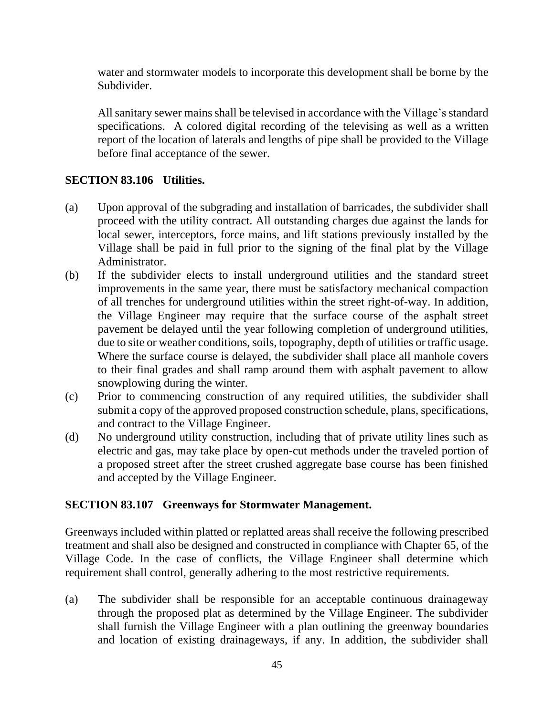water and stormwater models to incorporate this development shall be borne by the Subdivider.

All sanitary sewer mains shall be televised in accordance with the Village's standard specifications. A colored digital recording of the televising as well as a written report of the location of laterals and lengths of pipe shall be provided to the Village before final acceptance of the sewer.

### **SECTION 83.106 Utilities.**

- (a) Upon approval of the subgrading and installation of barricades, the subdivider shall proceed with the utility contract. All outstanding charges due against the lands for local sewer, interceptors, force mains, and lift stations previously installed by the Village shall be paid in full prior to the signing of the final plat by the Village Administrator.
- (b) If the subdivider elects to install underground utilities and the standard street improvements in the same year, there must be satisfactory mechanical compaction of all trenches for underground utilities within the street right-of-way. In addition, the Village Engineer may require that the surface course of the asphalt street pavement be delayed until the year following completion of underground utilities, due to site or weather conditions, soils, topography, depth of utilities or traffic usage. Where the surface course is delayed, the subdivider shall place all manhole covers to their final grades and shall ramp around them with asphalt pavement to allow snowplowing during the winter.
- (c) Prior to commencing construction of any required utilities, the subdivider shall submit a copy of the approved proposed construction schedule, plans, specifications, and contract to the Village Engineer.
- (d) No underground utility construction, including that of private utility lines such as electric and gas, may take place by open-cut methods under the traveled portion of a proposed street after the street crushed aggregate base course has been finished and accepted by the Village Engineer.

### **SECTION 83.107 Greenways for Stormwater Management.**

Greenways included within platted or replatted areas shall receive the following prescribed treatment and shall also be designed and constructed in compliance with Chapter 65, of the Village Code. In the case of conflicts, the Village Engineer shall determine which requirement shall control, generally adhering to the most restrictive requirements.

(a) The subdivider shall be responsible for an acceptable continuous drainageway through the proposed plat as determined by the Village Engineer. The subdivider shall furnish the Village Engineer with a plan outlining the greenway boundaries and location of existing drainageways, if any. In addition, the subdivider shall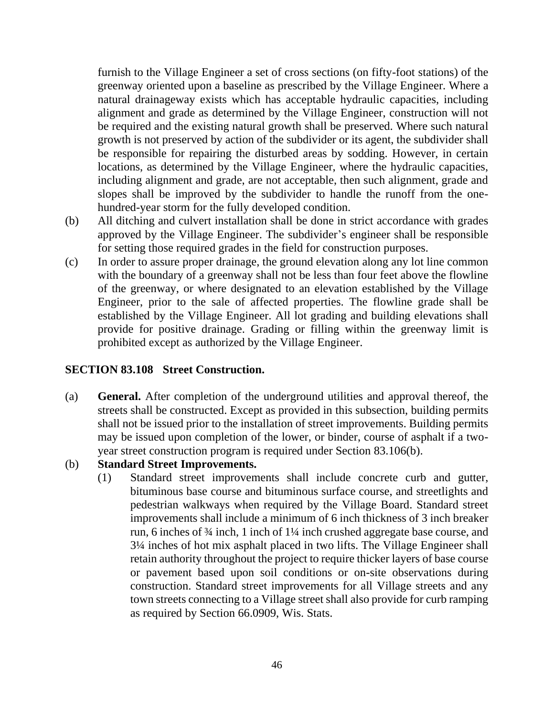furnish to the Village Engineer a set of cross sections (on fifty-foot stations) of the greenway oriented upon a baseline as prescribed by the Village Engineer. Where a natural drainageway exists which has acceptable hydraulic capacities, including alignment and grade as determined by the Village Engineer, construction will not be required and the existing natural growth shall be preserved. Where such natural growth is not preserved by action of the subdivider or its agent, the subdivider shall be responsible for repairing the disturbed areas by sodding. However, in certain locations, as determined by the Village Engineer, where the hydraulic capacities, including alignment and grade, are not acceptable, then such alignment, grade and slopes shall be improved by the subdivider to handle the runoff from the onehundred-year storm for the fully developed condition.

- (b) All ditching and culvert installation shall be done in strict accordance with grades approved by the Village Engineer. The subdivider's engineer shall be responsible for setting those required grades in the field for construction purposes.
- (c) In order to assure proper drainage, the ground elevation along any lot line common with the boundary of a greenway shall not be less than four feet above the flowline of the greenway, or where designated to an elevation established by the Village Engineer, prior to the sale of affected properties. The flowline grade shall be established by the Village Engineer. All lot grading and building elevations shall provide for positive drainage. Grading or filling within the greenway limit is prohibited except as authorized by the Village Engineer.

#### **SECTION 83.108 Street Construction.**

- (a) **General.** After completion of the underground utilities and approval thereof, the streets shall be constructed. Except as provided in this subsection, building permits shall not be issued prior to the installation of street improvements. Building permits may be issued upon completion of the lower, or binder, course of asphalt if a twoyear street construction program is required under Section 83.106(b).
- (b) **Standard Street Improvements.**
	- (1) Standard street improvements shall include concrete curb and gutter, bituminous base course and bituminous surface course, and streetlights and pedestrian walkways when required by the Village Board. Standard street improvements shall include a minimum of 6 inch thickness of 3 inch breaker run, 6 inches of ¾ inch, 1 inch of 1¼ inch crushed aggregate base course, and 3¼ inches of hot mix asphalt placed in two lifts. The Village Engineer shall retain authority throughout the project to require thicker layers of base course or pavement based upon soil conditions or on-site observations during construction. Standard street improvements for all Village streets and any town streets connecting to a Village street shall also provide for curb ramping as required by Section 66.0909, Wis. Stats.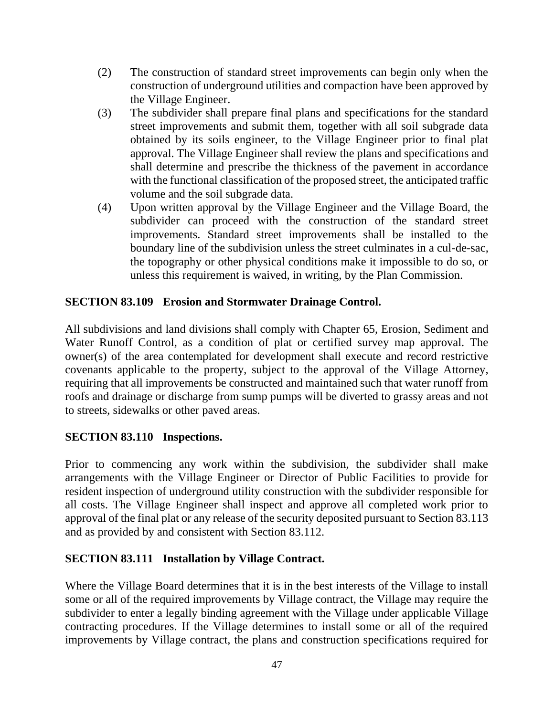- (2) The construction of standard street improvements can begin only when the construction of underground utilities and compaction have been approved by the Village Engineer.
- (3) The subdivider shall prepare final plans and specifications for the standard street improvements and submit them, together with all soil subgrade data obtained by its soils engineer, to the Village Engineer prior to final plat approval. The Village Engineer shall review the plans and specifications and shall determine and prescribe the thickness of the pavement in accordance with the functional classification of the proposed street, the anticipated traffic volume and the soil subgrade data.
- (4) Upon written approval by the Village Engineer and the Village Board, the subdivider can proceed with the construction of the standard street improvements. Standard street improvements shall be installed to the boundary line of the subdivision unless the street culminates in a cul-de-sac, the topography or other physical conditions make it impossible to do so, or unless this requirement is waived, in writing, by the Plan Commission.

### **SECTION 83.109 Erosion and Stormwater Drainage Control.**

All subdivisions and land divisions shall comply with Chapter 65, Erosion, Sediment and Water Runoff Control, as a condition of plat or certified survey map approval. The owner(s) of the area contemplated for development shall execute and record restrictive covenants applicable to the property, subject to the approval of the Village Attorney, requiring that all improvements be constructed and maintained such that water runoff from roofs and drainage or discharge from sump pumps will be diverted to grassy areas and not to streets, sidewalks or other paved areas.

### **SECTION 83.110 Inspections.**

Prior to commencing any work within the subdivision, the subdivider shall make arrangements with the Village Engineer or Director of Public Facilities to provide for resident inspection of underground utility construction with the subdivider responsible for all costs. The Village Engineer shall inspect and approve all completed work prior to approval of the final plat or any release of the security deposited pursuant to Section 83.113 and as provided by and consistent with Section 83.112.

#### **SECTION 83.111 Installation by Village Contract.**

Where the Village Board determines that it is in the best interests of the Village to install some or all of the required improvements by Village contract, the Village may require the subdivider to enter a legally binding agreement with the Village under applicable Village contracting procedures. If the Village determines to install some or all of the required improvements by Village contract, the plans and construction specifications required for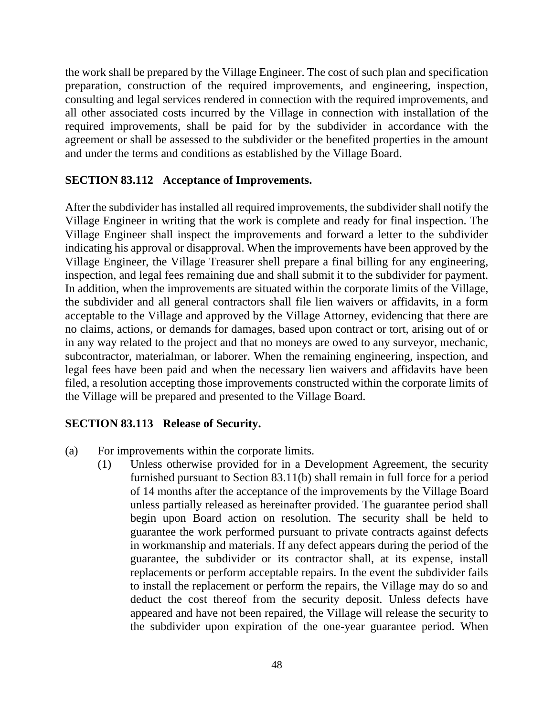the work shall be prepared by the Village Engineer. The cost of such plan and specification preparation, construction of the required improvements, and engineering, inspection, consulting and legal services rendered in connection with the required improvements, and all other associated costs incurred by the Village in connection with installation of the required improvements, shall be paid for by the subdivider in accordance with the agreement or shall be assessed to the subdivider or the benefited properties in the amount and under the terms and conditions as established by the Village Board.

### **SECTION 83.112 Acceptance of Improvements.**

After the subdivider has installed all required improvements, the subdivider shall notify the Village Engineer in writing that the work is complete and ready for final inspection. The Village Engineer shall inspect the improvements and forward a letter to the subdivider indicating his approval or disapproval. When the improvements have been approved by the Village Engineer, the Village Treasurer shell prepare a final billing for any engineering, inspection, and legal fees remaining due and shall submit it to the subdivider for payment. In addition, when the improvements are situated within the corporate limits of the Village, the subdivider and all general contractors shall file lien waivers or affidavits, in a form acceptable to the Village and approved by the Village Attorney, evidencing that there are no claims, actions, or demands for damages, based upon contract or tort, arising out of or in any way related to the project and that no moneys are owed to any surveyor, mechanic, subcontractor, materialman, or laborer. When the remaining engineering, inspection, and legal fees have been paid and when the necessary lien waivers and affidavits have been filed, a resolution accepting those improvements constructed within the corporate limits of the Village will be prepared and presented to the Village Board.

#### **SECTION 83.113 Release of Security.**

- (a) For improvements within the corporate limits.
	- (1) Unless otherwise provided for in a Development Agreement, the security furnished pursuant to Section 83.11(b) shall remain in full force for a period of 14 months after the acceptance of the improvements by the Village Board unless partially released as hereinafter provided. The guarantee period shall begin upon Board action on resolution. The security shall be held to guarantee the work performed pursuant to private contracts against defects in workmanship and materials. If any defect appears during the period of the guarantee, the subdivider or its contractor shall, at its expense, install replacements or perform acceptable repairs. In the event the subdivider fails to install the replacement or perform the repairs, the Village may do so and deduct the cost thereof from the security deposit. Unless defects have appeared and have not been repaired, the Village will release the security to the subdivider upon expiration of the one-year guarantee period. When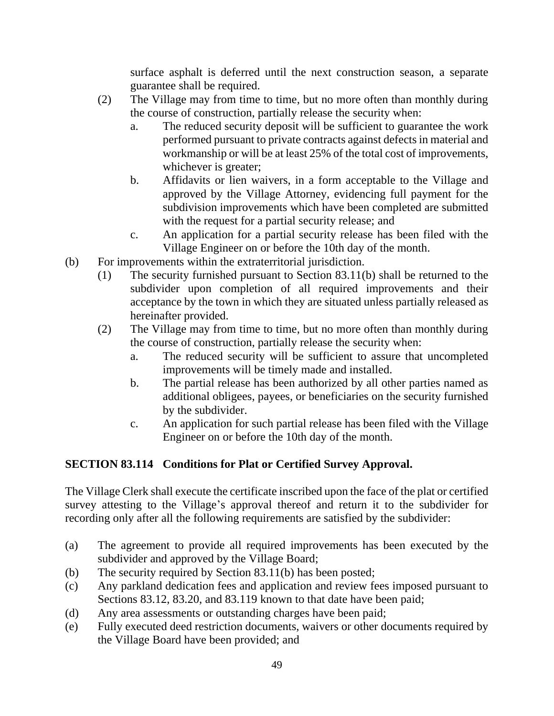surface asphalt is deferred until the next construction season, a separate guarantee shall be required.

- (2) The Village may from time to time, but no more often than monthly during the course of construction, partially release the security when:
	- a. The reduced security deposit will be sufficient to guarantee the work performed pursuant to private contracts against defects in material and workmanship or will be at least 25% of the total cost of improvements, whichever is greater;
	- b. Affidavits or lien waivers, in a form acceptable to the Village and approved by the Village Attorney, evidencing full payment for the subdivision improvements which have been completed are submitted with the request for a partial security release; and
	- c. An application for a partial security release has been filed with the Village Engineer on or before the 10th day of the month.
- (b) For improvements within the extraterritorial jurisdiction.
	- (1) The security furnished pursuant to Section 83.11(b) shall be returned to the subdivider upon completion of all required improvements and their acceptance by the town in which they are situated unless partially released as hereinafter provided.
	- (2) The Village may from time to time, but no more often than monthly during the course of construction, partially release the security when:
		- a. The reduced security will be sufficient to assure that uncompleted improvements will be timely made and installed.
		- b. The partial release has been authorized by all other parties named as additional obligees, payees, or beneficiaries on the security furnished by the subdivider.
		- c. An application for such partial release has been filed with the Village Engineer on or before the 10th day of the month.

# **SECTION 83.114 Conditions for Plat or Certified Survey Approval.**

The Village Clerk shall execute the certificate inscribed upon the face of the plat or certified survey attesting to the Village's approval thereof and return it to the subdivider for recording only after all the following requirements are satisfied by the subdivider:

- (a) The agreement to provide all required improvements has been executed by the subdivider and approved by the Village Board;
- (b) The security required by Section 83.11(b) has been posted;
- (c) Any parkland dedication fees and application and review fees imposed pursuant to Sections 83.12, 83.20, and 83.119 known to that date have been paid;
- (d) Any area assessments or outstanding charges have been paid;
- (e) Fully executed deed restriction documents, waivers or other documents required by the Village Board have been provided; and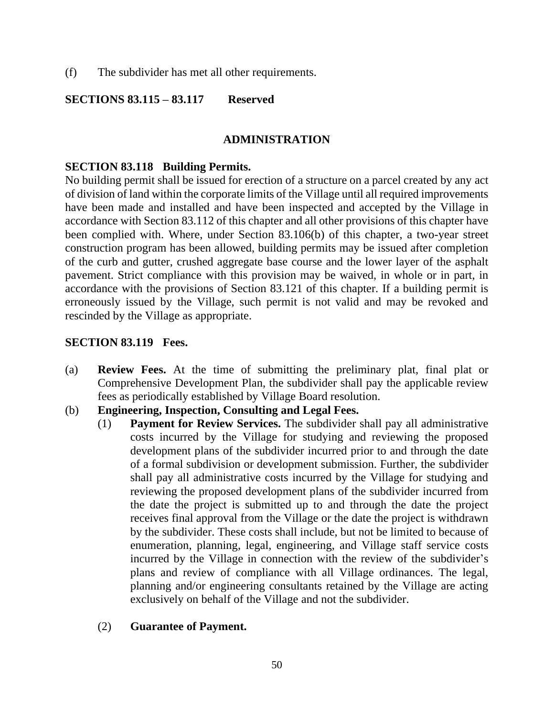(f) The subdivider has met all other requirements.

#### **SECTIONS 83.115 – 83.117 Reserved**

#### **ADMINISTRATION**

#### **SECTION 83.118 Building Permits.**

No building permit shall be issued for erection of a structure on a parcel created by any act of division of land within the corporate limits of the Village until all required improvements have been made and installed and have been inspected and accepted by the Village in accordance with Section 83.112 of this chapter and all other provisions of this chapter have been complied with. Where, under Section 83.106(b) of this chapter, a two-year street construction program has been allowed, building permits may be issued after completion of the curb and gutter, crushed aggregate base course and the lower layer of the asphalt pavement. Strict compliance with this provision may be waived, in whole or in part, in accordance with the provisions of Section 83.121 of this chapter. If a building permit is erroneously issued by the Village, such permit is not valid and may be revoked and rescinded by the Village as appropriate.

### **SECTION 83.119 Fees.**

- (a) **Review Fees.** At the time of submitting the preliminary plat, final plat or Comprehensive Development Plan, the subdivider shall pay the applicable review fees as periodically established by Village Board resolution.
- (b) **Engineering, Inspection, Consulting and Legal Fees.**
	- (1) **Payment for Review Services.** The subdivider shall pay all administrative costs incurred by the Village for studying and reviewing the proposed development plans of the subdivider incurred prior to and through the date of a formal subdivision or development submission. Further, the subdivider shall pay all administrative costs incurred by the Village for studying and reviewing the proposed development plans of the subdivider incurred from the date the project is submitted up to and through the date the project receives final approval from the Village or the date the project is withdrawn by the subdivider. These costs shall include, but not be limited to because of enumeration, planning, legal, engineering, and Village staff service costs incurred by the Village in connection with the review of the subdivider's plans and review of compliance with all Village ordinances. The legal, planning and/or engineering consultants retained by the Village are acting exclusively on behalf of the Village and not the subdivider.

#### (2) **Guarantee of Payment.**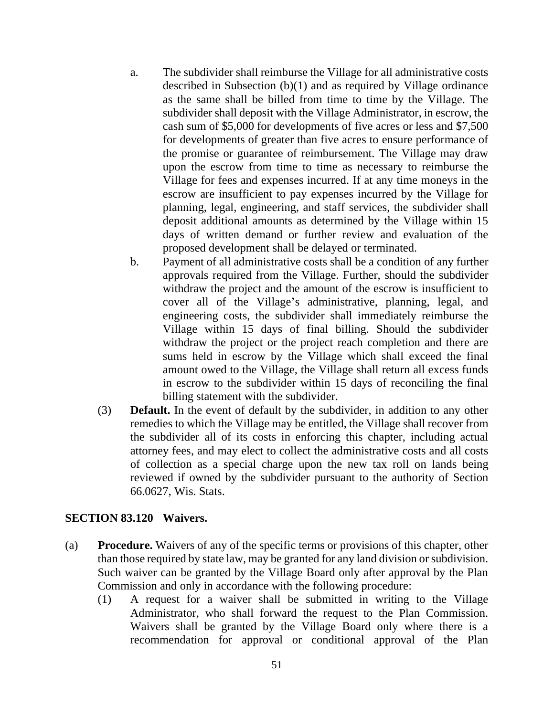- a. The subdivider shall reimburse the Village for all administrative costs described in Subsection (b)(1) and as required by Village ordinance as the same shall be billed from time to time by the Village. The subdivider shall deposit with the Village Administrator, in escrow, the cash sum of \$5,000 for developments of five acres or less and \$7,500 for developments of greater than five acres to ensure performance of the promise or guarantee of reimbursement. The Village may draw upon the escrow from time to time as necessary to reimburse the Village for fees and expenses incurred. If at any time moneys in the escrow are insufficient to pay expenses incurred by the Village for planning, legal, engineering, and staff services, the subdivider shall deposit additional amounts as determined by the Village within 15 days of written demand or further review and evaluation of the proposed development shall be delayed or terminated.
- b. Payment of all administrative costs shall be a condition of any further approvals required from the Village. Further, should the subdivider withdraw the project and the amount of the escrow is insufficient to cover all of the Village's administrative, planning, legal, and engineering costs, the subdivider shall immediately reimburse the Village within 15 days of final billing. Should the subdivider withdraw the project or the project reach completion and there are sums held in escrow by the Village which shall exceed the final amount owed to the Village, the Village shall return all excess funds in escrow to the subdivider within 15 days of reconciling the final billing statement with the subdivider.
- (3) **Default.** In the event of default by the subdivider, in addition to any other remedies to which the Village may be entitled, the Village shall recover from the subdivider all of its costs in enforcing this chapter, including actual attorney fees, and may elect to collect the administrative costs and all costs of collection as a special charge upon the new tax roll on lands being reviewed if owned by the subdivider pursuant to the authority of Section 66.0627, Wis. Stats.

#### **SECTION 83.120 Waivers.**

- (a) **Procedure.** Waivers of any of the specific terms or provisions of this chapter, other than those required by state law, may be granted for any land division or subdivision. Such waiver can be granted by the Village Board only after approval by the Plan Commission and only in accordance with the following procedure:
	- (1) A request for a waiver shall be submitted in writing to the Village Administrator, who shall forward the request to the Plan Commission. Waivers shall be granted by the Village Board only where there is a recommendation for approval or conditional approval of the Plan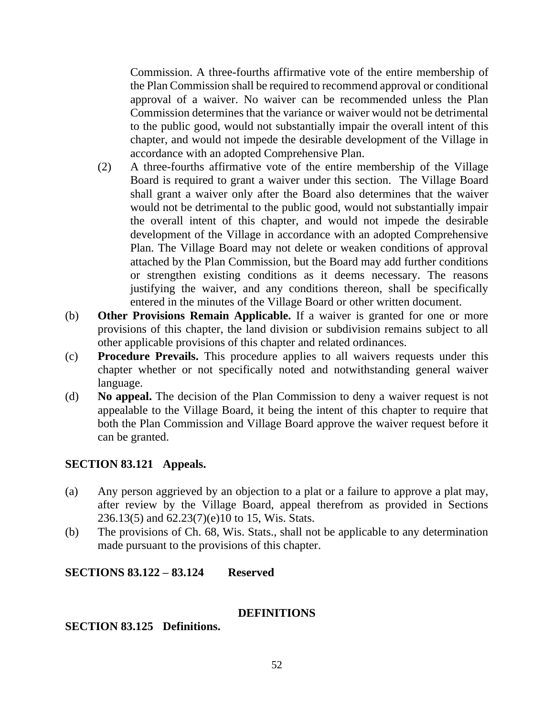Commission. A three-fourths affirmative vote of the entire membership of the Plan Commission shall be required to recommend approval or conditional approval of a waiver. No waiver can be recommended unless the Plan Commission determines that the variance or waiver would not be detrimental to the public good, would not substantially impair the overall intent of this chapter, and would not impede the desirable development of the Village in accordance with an adopted Comprehensive Plan.

- (2) A three-fourths affirmative vote of the entire membership of the Village Board is required to grant a waiver under this section. The Village Board shall grant a waiver only after the Board also determines that the waiver would not be detrimental to the public good, would not substantially impair the overall intent of this chapter, and would not impede the desirable development of the Village in accordance with an adopted Comprehensive Plan. The Village Board may not delete or weaken conditions of approval attached by the Plan Commission, but the Board may add further conditions or strengthen existing conditions as it deems necessary. The reasons justifying the waiver, and any conditions thereon, shall be specifically entered in the minutes of the Village Board or other written document.
- (b) **Other Provisions Remain Applicable.** If a waiver is granted for one or more provisions of this chapter, the land division or subdivision remains subject to all other applicable provisions of this chapter and related ordinances.
- (c) **Procedure Prevails.** This procedure applies to all waivers requests under this chapter whether or not specifically noted and notwithstanding general waiver language.
- (d) **No appeal.** The decision of the Plan Commission to deny a waiver request is not appealable to the Village Board, it being the intent of this chapter to require that both the Plan Commission and Village Board approve the waiver request before it can be granted.

### **SECTION 83.121 Appeals.**

- (a) Any person aggrieved by an objection to a plat or a failure to approve a plat may, after review by the Village Board, appeal therefrom as provided in Sections 236.13(5) and 62.23(7)(e)10 to 15, Wis. Stats.
- (b) The provisions of Ch. 68, Wis. Stats., shall not be applicable to any determination made pursuant to the provisions of this chapter.

#### **SECTIONS 83.122 – 83.124 Reserved**

#### **DEFINITIONS**

**SECTION 83.125 Definitions.**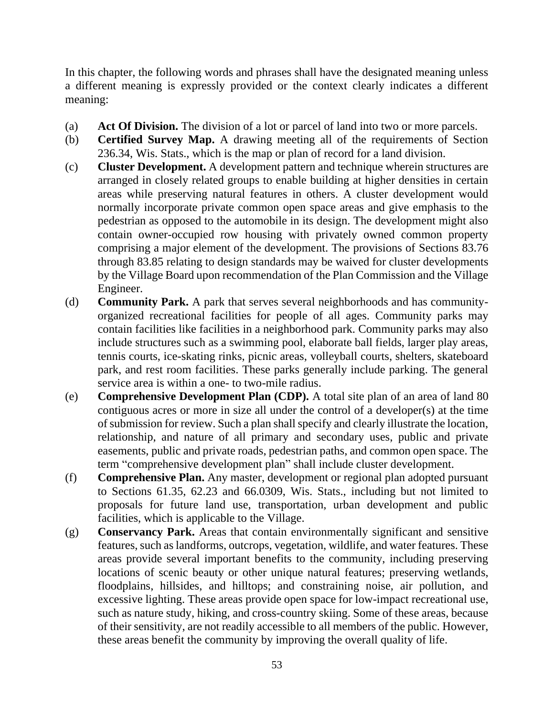In this chapter, the following words and phrases shall have the designated meaning unless a different meaning is expressly provided or the context clearly indicates a different meaning:

- (a) **Act Of Division.** The division of a lot or parcel of land into two or more parcels.
- (b) **Certified Survey Map.** A drawing meeting all of the requirements of Section 236.34, Wis. Stats., which is the map or plan of record for a land division.
- (c) **Cluster Development.** A development pattern and technique wherein structures are arranged in closely related groups to enable building at higher densities in certain areas while preserving natural features in others. A cluster development would normally incorporate private common open space areas and give emphasis to the pedestrian as opposed to the automobile in its design. The development might also contain owner-occupied row housing with privately owned common property comprising a major element of the development. The provisions of Sections 83.76 through 83.85 relating to design standards may be waived for cluster developments by the Village Board upon recommendation of the Plan Commission and the Village Engineer.
- (d) **Community Park.** A park that serves several neighborhoods and has communityorganized recreational facilities for people of all ages. Community parks may contain facilities like facilities in a neighborhood park. Community parks may also include structures such as a swimming pool, elaborate ball fields, larger play areas, tennis courts, ice-skating rinks, picnic areas, volleyball courts, shelters, skateboard park, and rest room facilities. These parks generally include parking. The general service area is within a one- to two-mile radius.
- (e) **Comprehensive Development Plan (CDP).** A total site plan of an area of land 80 contiguous acres or more in size all under the control of a developer(s) at the time of submission for review. Such a plan shall specify and clearly illustrate the location, relationship, and nature of all primary and secondary uses, public and private easements, public and private roads, pedestrian paths, and common open space. The term "comprehensive development plan" shall include cluster development.
- (f) **Comprehensive Plan.** Any master, development or regional plan adopted pursuant to Sections 61.35, 62.23 and 66.0309, Wis. Stats., including but not limited to proposals for future land use, transportation, urban development and public facilities, which is applicable to the Village.
- (g) **Conservancy Park.** Areas that contain environmentally significant and sensitive features, such as landforms, outcrops, vegetation, wildlife, and water features. These areas provide several important benefits to the community, including preserving locations of scenic beauty or other unique natural features; preserving wetlands, floodplains, hillsides, and hilltops; and constraining noise, air pollution, and excessive lighting. These areas provide open space for low-impact recreational use, such as nature study, hiking, and cross-country skiing. Some of these areas, because of their sensitivity, are not readily accessible to all members of the public. However, these areas benefit the community by improving the overall quality of life.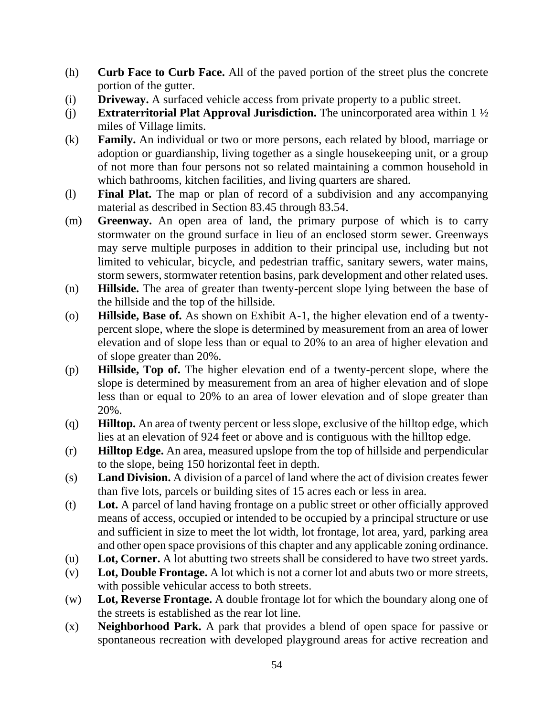- (h) **Curb Face to Curb Face.** All of the paved portion of the street plus the concrete portion of the gutter.
- (i) **Driveway.** A surfaced vehicle access from private property to a public street.
- (j) **Extraterritorial Plat Approval Jurisdiction.** The unincorporated area within 1 ½ miles of Village limits.
- (k) **Family.** An individual or two or more persons, each related by blood, marriage or adoption or guardianship, living together as a single housekeeping unit, or a group of not more than four persons not so related maintaining a common household in which bathrooms, kitchen facilities, and living quarters are shared.
- (l) **Final Plat.** The map or plan of record of a subdivision and any accompanying material as described in Section 83.45 through 83.54.
- (m) **Greenway.** An open area of land, the primary purpose of which is to carry stormwater on the ground surface in lieu of an enclosed storm sewer. Greenways may serve multiple purposes in addition to their principal use, including but not limited to vehicular, bicycle, and pedestrian traffic, sanitary sewers, water mains, storm sewers, stormwater retention basins, park development and other related uses.
- (n) **Hillside.** The area of greater than twenty-percent slope lying between the base of the hillside and the top of the hillside.
- (o) **Hillside, Base of.** As shown on Exhibit A-1, the higher elevation end of a twentypercent slope, where the slope is determined by measurement from an area of lower elevation and of slope less than or equal to 20% to an area of higher elevation and of slope greater than 20%.
- (p) **Hillside, Top of.** The higher elevation end of a twenty-percent slope, where the slope is determined by measurement from an area of higher elevation and of slope less than or equal to 20% to an area of lower elevation and of slope greater than 20%.
- (q) **Hilltop.** An area of twenty percent or less slope, exclusive of the hilltop edge, which lies at an elevation of 924 feet or above and is contiguous with the hilltop edge.
- (r) **Hilltop Edge.** An area, measured upslope from the top of hillside and perpendicular to the slope, being 150 horizontal feet in depth.
- (s) **Land Division.** A division of a parcel of land where the act of division creates fewer than five lots, parcels or building sites of 15 acres each or less in area.
- (t) **Lot.** A parcel of land having frontage on a public street or other officially approved means of access, occupied or intended to be occupied by a principal structure or use and sufficient in size to meet the lot width, lot frontage, lot area, yard, parking area and other open space provisions of this chapter and any applicable zoning ordinance.
- (u) **Lot, Corner.** A lot abutting two streets shall be considered to have two street yards.
- (v) **Lot, Double Frontage.** A lot which is not a corner lot and abuts two or more streets, with possible vehicular access to both streets.
- (w) **Lot, Reverse Frontage.** A double frontage lot for which the boundary along one of the streets is established as the rear lot line.
- (x) **Neighborhood Park.** A park that provides a blend of open space for passive or spontaneous recreation with developed playground areas for active recreation and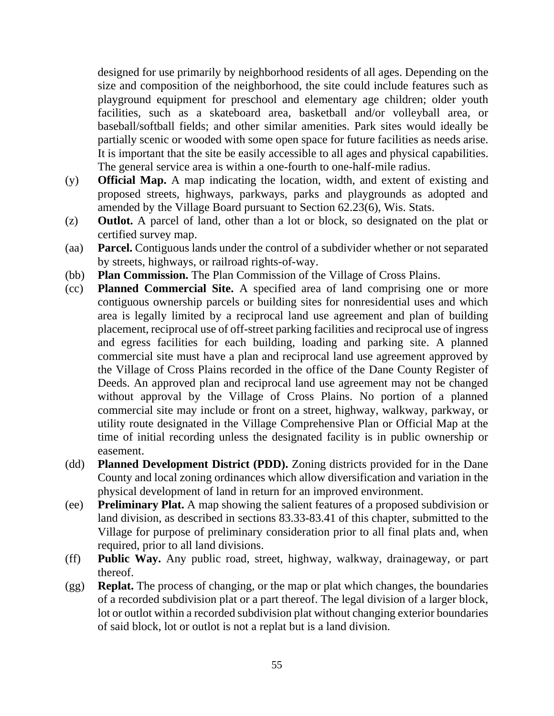designed for use primarily by neighborhood residents of all ages. Depending on the size and composition of the neighborhood, the site could include features such as playground equipment for preschool and elementary age children; older youth facilities, such as a skateboard area, basketball and/or volleyball area, or baseball/softball fields; and other similar amenities. Park sites would ideally be partially scenic or wooded with some open space for future facilities as needs arise. It is important that the site be easily accessible to all ages and physical capabilities. The general service area is within a one-fourth to one-half-mile radius.

- (y) **Official Map.** A map indicating the location, width, and extent of existing and proposed streets, highways, parkways, parks and playgrounds as adopted and amended by the Village Board pursuant to Section 62.23(6), Wis. Stats.
- (z) **Outlot.** A parcel of land, other than a lot or block, so designated on the plat or certified survey map.
- (aa) **Parcel.** Contiguous lands under the control of a subdivider whether or not separated by streets, highways, or railroad rights-of-way.
- (bb) **Plan Commission.** The Plan Commission of the Village of Cross Plains.
- (cc) **Planned Commercial Site.** A specified area of land comprising one or more contiguous ownership parcels or building sites for nonresidential uses and which area is legally limited by a reciprocal land use agreement and plan of building placement, reciprocal use of off-street parking facilities and reciprocal use of ingress and egress facilities for each building, loading and parking site. A planned commercial site must have a plan and reciprocal land use agreement approved by the Village of Cross Plains recorded in the office of the Dane County Register of Deeds. An approved plan and reciprocal land use agreement may not be changed without approval by the Village of Cross Plains. No portion of a planned commercial site may include or front on a street, highway, walkway, parkway, or utility route designated in the Village Comprehensive Plan or Official Map at the time of initial recording unless the designated facility is in public ownership or easement.
- (dd) **Planned Development District (PDD).** Zoning districts provided for in the Dane County and local zoning ordinances which allow diversification and variation in the physical development of land in return for an improved environment.
- (ee) **Preliminary Plat.** A map showing the salient features of a proposed subdivision or land division, as described in sections 83.33-83.41 of this chapter, submitted to the Village for purpose of preliminary consideration prior to all final plats and, when required, prior to all land divisions.
- (ff) **Public Way.** Any public road, street, highway, walkway, drainageway, or part thereof.
- (gg) **Replat.** The process of changing, or the map or plat which changes, the boundaries of a recorded subdivision plat or a part thereof. The legal division of a larger block, lot or outlot within a recorded subdivision plat without changing exterior boundaries of said block, lot or outlot is not a replat but is a land division.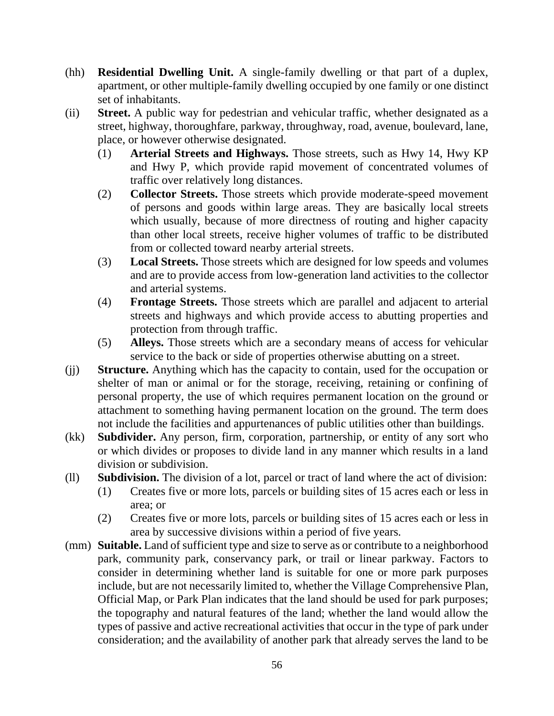- (hh) **Residential Dwelling Unit.** A single-family dwelling or that part of a duplex, apartment, or other multiple-family dwelling occupied by one family or one distinct set of inhabitants.
- (ii) **Street.** A public way for pedestrian and vehicular traffic, whether designated as a street, highway, thoroughfare, parkway, throughway, road, avenue, boulevard, lane, place, or however otherwise designated.
	- (1) **Arterial Streets and Highways.** Those streets, such as Hwy 14, Hwy KP and Hwy P, which provide rapid movement of concentrated volumes of traffic over relatively long distances.
	- (2) **Collector Streets.** Those streets which provide moderate-speed movement of persons and goods within large areas. They are basically local streets which usually, because of more directness of routing and higher capacity than other local streets, receive higher volumes of traffic to be distributed from or collected toward nearby arterial streets.
	- (3) **Local Streets.** Those streets which are designed for low speeds and volumes and are to provide access from low-generation land activities to the collector and arterial systems.
	- (4) **Frontage Streets.** Those streets which are parallel and adjacent to arterial streets and highways and which provide access to abutting properties and protection from through traffic.
	- (5) **Alleys.** Those streets which are a secondary means of access for vehicular service to the back or side of properties otherwise abutting on a street.
- (jj) **Structure.** Anything which has the capacity to contain, used for the occupation or shelter of man or animal or for the storage, receiving, retaining or confining of personal property, the use of which requires permanent location on the ground or attachment to something having permanent location on the ground. The term does not include the facilities and appurtenances of public utilities other than buildings.
- (kk) **Subdivider.** Any person, firm, corporation, partnership, or entity of any sort who or which divides or proposes to divide land in any manner which results in a land division or subdivision.
- (ll) **Subdivision.** The division of a lot, parcel or tract of land where the act of division:
	- (1) Creates five or more lots, parcels or building sites of 15 acres each or less in area; or
	- (2) Creates five or more lots, parcels or building sites of 15 acres each or less in area by successive divisions within a period of five years.
- (mm) **Suitable.** Land of sufficient type and size to serve as or contribute to a neighborhood park, community park, conservancy park, or trail or linear parkway. Factors to consider in determining whether land is suitable for one or more park purposes include, but are not necessarily limited to, whether the Village Comprehensive Plan, Official Map, or Park Plan indicates that the land should be used for park purposes; the topography and natural features of the land; whether the land would allow the types of passive and active recreational activities that occur in the type of park under consideration; and the availability of another park that already serves the land to be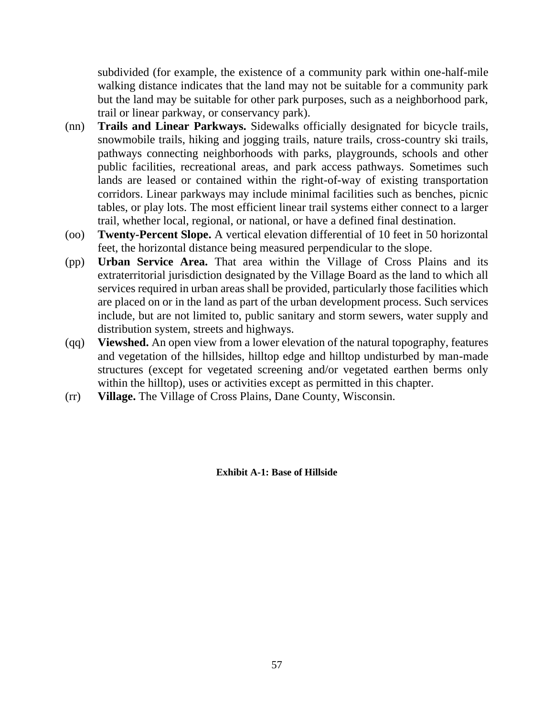subdivided (for example, the existence of a community park within one-half-mile walking distance indicates that the land may not be suitable for a community park but the land may be suitable for other park purposes, such as a neighborhood park, trail or linear parkway, or conservancy park).

- (nn) **Trails and Linear Parkways.** Sidewalks officially designated for bicycle trails, snowmobile trails, hiking and jogging trails, nature trails, cross-country ski trails, pathways connecting neighborhoods with parks, playgrounds, schools and other public facilities, recreational areas, and park access pathways. Sometimes such lands are leased or contained within the right-of-way of existing transportation corridors. Linear parkways may include minimal facilities such as benches, picnic tables, or play lots. The most efficient linear trail systems either connect to a larger trail, whether local, regional, or national, or have a defined final destination.
- (oo) **Twenty-Percent Slope.** A vertical elevation differential of 10 feet in 50 horizontal feet, the horizontal distance being measured perpendicular to the slope.
- (pp) **Urban Service Area.** That area within the Village of Cross Plains and its extraterritorial jurisdiction designated by the Village Board as the land to which all services required in urban areas shall be provided, particularly those facilities which are placed on or in the land as part of the urban development process. Such services include, but are not limited to, public sanitary and storm sewers, water supply and distribution system, streets and highways.
- (qq) **Viewshed.** An open view from a lower elevation of the natural topography, features and vegetation of the hillsides, hilltop edge and hilltop undisturbed by man-made structures (except for vegetated screening and/or vegetated earthen berms only within the hilltop), uses or activities except as permitted in this chapter.
- (rr) **Village.** The Village of Cross Plains, Dane County, Wisconsin.

**Exhibit A-1: Base of Hillside**